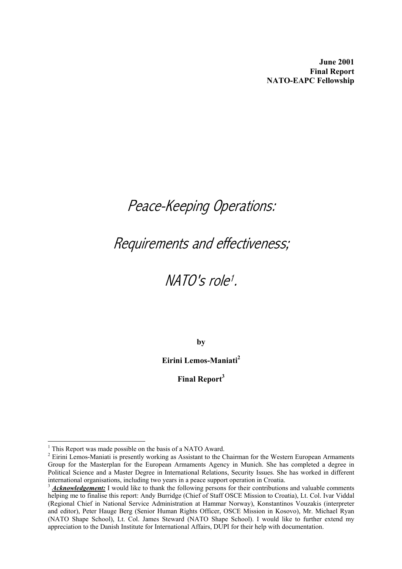**June 2001 Final Report NATO-EAPC Fellowship** 

# Peace-Keeping Operations:

# Requirements and effectiveness;

# NATO's rol[e](#page-0-0)<sup>1</sup>.

**by** 

**Eirini Lemos-Maniati[2](#page-0-1)**

**Final Repor[t3](#page-0-2)** 

<span id="page-0-0"></span> $<sup>1</sup>$  This Report was made possible on the basis of a NATO Award.</sup>

<span id="page-0-1"></span> $2$  Eirini Lemos-Maniati is presently working as Assistant to the Chairman for the Western European Armaments Group for the Masterplan for the European Armaments Agency in Munich. She has completed a degree in Political Science and a Master Degree in International Relations, Security Issues. She has worked in different international organisations, including two years in a peace support operation in Croatia.<br><sup>3</sup> *Acknowledgement:* I would like to thank the following persons for their contributions and valuable comments

<span id="page-0-2"></span>helping me to finalise this report: Andy Burridge (Chief of Staff OSCE Mission to Croatia), Lt. Col. Ivar Viddal (Regional Chief in National Service Administration at Hammar Norway), Konstantinos Vouzakis (interpreter and editor), Peter Hauge Berg (Senior Human Rights Officer, OSCE Mission in Kosovo), Mr. Michael Ryan (NATO Shape School), Lt. Col. James Steward (NATO Shape School). I would like to further extend my appreciation to the Danish Institute for International Affairs, DUPI for their help with documentation.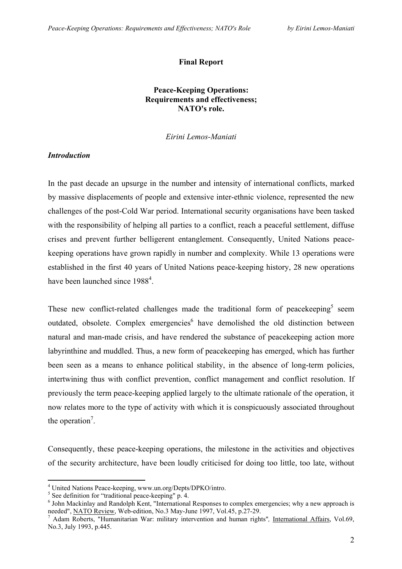## **Final Report**

# **Peace-Keeping Operations: Requirements and effectiveness; NATO's role.**

*Eirini Lemos-Maniati* 

## *Introduction*

In the past decade an upsurge in the number and intensity of international conflicts, marked by massive displacements of people and extensive inter-ethnic violence, represented the new challenges of the post-Cold War period. International security organisations have been tasked with the responsibility of helping all parties to a conflict, reach a peaceful settlement, diffuse crises and prevent further belligerent entanglement. Consequently, United Nations peacekeeping operations have grown rapidly in number and complexity. While 13 operations were established in the first 40 years of United Nations peace-keeping history, 28 new operations have been launched since 1988<sup>4</sup>.

These new conflict-related challenges made the traditional form of peace keeping seem outdated, obsolete. Complex emergencies<sup>6</sup> have demolished the old distinction between natural and man-made crisis, and have rendered the substance of peacekeeping action more labyrinthine and muddled. Thus, a new form of peacekeeping has emerged, which has further been seen as a means to enhance political stability, in the absence of long-term policies, intertwining thus with conflict prevention, conflict management and conflict resolution. If previously the term peace-keeping applied largely to the ultimate rationale of the operation, it now relates more to the type of activity with which it is conspicuously associated throughout the operation<sup>7</sup>.

Consequently, these peace-keeping operations, the milestone in the activities and objectives of the security architecture, have been loudly criticised for doing too little, too late, without

<span id="page-1-0"></span><sup>&</sup>lt;sup>4</sup> United Nations Peace-keeping, www.un.org/Depts/DPKO/intro.

<span id="page-1-1"></span> $\frac{5}{3}$  See definition for "traditional peace-keeping" p. 4.

<span id="page-1-2"></span><sup>&</sup>lt;sup>6</sup> John Mackinlay and Randolph Kent, "International Responses to complex emergencies; why a new approach is needed", NATO Review, Web-edition, No.3 May-June 1997, Vol.45, p.27-29.

<span id="page-1-3"></span><sup>&</sup>lt;sup>7</sup> Adam Roberts, "Humanitarian War: military intervention and human rights", International Affairs, Vol.69, No.3, July 1993, p.445.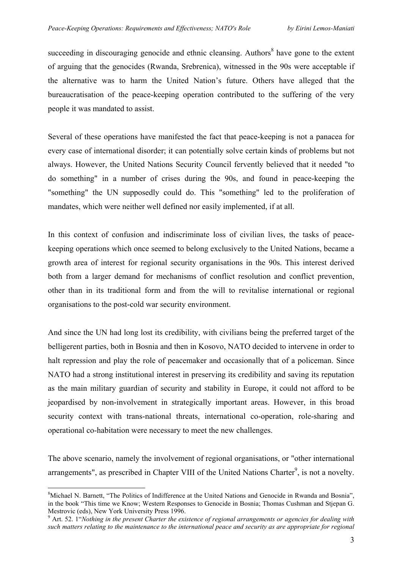succeeding in discouraging genocide and ethnic cleansing. Authors $\delta$  have gone to the extent of arguing that the genocides (Rwanda, Srebrenica), witnessed in the 90s were acceptable if the alternative was to harm the United Nation's future. Others have alleged that the bureaucratisation of the peace-keeping operation contributed to the suffering of the very people it was mandated to assist.

Several of these operations have manifested the fact that peace-keeping is not a panacea for every case of international disorder; it can potentially solve certain kinds of problems but not always. However, the United Nations Security Council fervently believed that it needed "to do something" in a number of crises during the 90s, and found in peace-keeping the "something" the UN supposedly could do. This "something" led to the proliferation of mandates, which were neither well defined nor easily implemented, if at all.

In this context of confusion and indiscriminate loss of civilian lives, the tasks of peacekeeping operations which once seemed to belong exclusively to the United Nations, became a growth area of interest for regional security organisations in the 90s. This interest derived both from a larger demand for mechanisms of conflict resolution and conflict prevention, other than in its traditional form and from the will to revitalise international or regional organisations to the post-cold war security environment.

And since the UN had long lost its credibility, with civilians being the preferred target of the belligerent parties, both in Bosnia and then in Kosovo, NATO decided to intervene in order to halt repression and play the role of peacemaker and occasionally that of a policeman. Since NATO had a strong institutional interest in preserving its credibility and saving its reputation as the main military guardian of security and stability in Europe, it could not afford to be jeopardised by non-involvement in strategically important areas. However, in this broad security context with trans-national threats, international co-operation, role-sharing and operational co-habitation were necessary to meet the new challenges.

The above scenario, namely the involvement of regional organisations, or "other international arrangements", as prescribed in Chapter VIII of the United Nations Charter<sup>9</sup>, is not a novelty.

<span id="page-2-0"></span> $\overline{a}$ <sup>8</sup>Michael N. Barnett, "The Politics of Indifference at the United Nations and Genocide in Rwanda and Bosnia", in the book "This time we Know; Western Responses to Genocide in Bosnia; Thomas Cushman and Stjepan G.

<span id="page-2-1"></span><sup>&</sup>lt;sup>9</sup> Art. 52. 1 *"Nothing in the present Charter the existence of regional arrangements or agencies for dealing with such matters relating to the maintenance to the international peace and security as are appropriate for regional*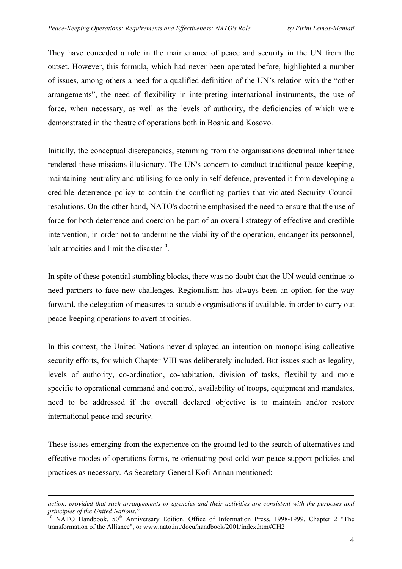They have conceded a role in the maintenance of peace and security in the UN from the outset. However, this formula, which had never been operated before, highlighted a number of issues, among others a need for a qualified definition of the UN's relation with the "other arrangements", the need of flexibility in interpreting international instruments, the use of force, when necessary, as well as the levels of authority, the deficiencies of which were demonstrated in the theatre of operations both in Bosnia and Kosovo.

Initially, the conceptual discrepancies, stemming from the organisations doctrinal inheritance rendered these missions illusionary. The UN's concern to conduct traditional peace-keeping, maintaining neutrality and utilising force only in self-defence, prevented it from developing a credible deterrence policy to contain the conflicting parties that violated Security Council resolutions. On the other hand, NATO's doctrine emphasised the need to ensure that the use of force for both deterrence and coercion be part of an overall strategy of effective and credible intervention, in order not to undermine the viability of the operation, endanger its personnel, halt atrocities and limit the disaster $10$ .

In spite of these potential stumbling blocks, there was no doubt that the UN would continue to need partners to face new challenges. Regionalism has always been an option for the way forward, the delegation of measures to suitable organisations if available, in order to carry out peace-keeping operations to avert atrocities.

In this context, the United Nations never displayed an intention on monopolising collective security efforts, for which Chapter VIII was deliberately included. But issues such as legality, levels of authority, co-ordination, co-habitation, division of tasks, flexibility and more specific to operational command and control, availability of troops, equipment and mandates, need to be addressed if the overall declared objective is to maintain and/or restore international peace and security.

These issues emerging from the experience on the ground led to the search of alternatives and effective modes of operations forms, re-orientating post cold-war peace support policies and practices as necessary. As Secretary-General Kofi Annan mentioned:

*action, provided that such arrangements or agencies and their activities are consistent with the purposes and principles of the United Nations*." <br><sup>10</sup> NATO Handbook, 50<sup>th</sup> Anniversary Edition, Office of Information Press, 1998-1999, Chapter 2 "The

<span id="page-3-0"></span>transformation of the Alliance", or [www.nato.int/docu/handbook/2001/index.htm#CH2](http://www.nato.int/docu/handbook/2001/index.htm)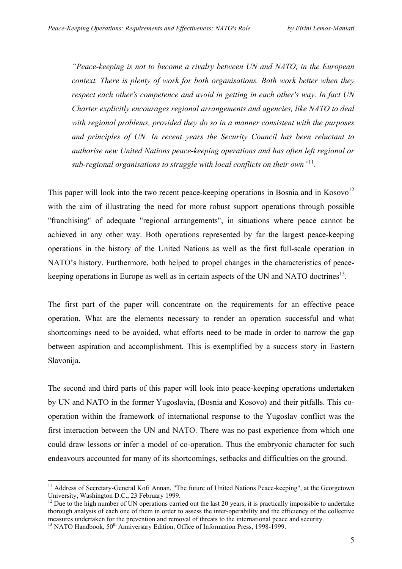*"Peace-keeping is not to become a rivalry between UN and NATO, in the European context. There is plenty of work for both organisations. Both work better when they respect each other's competence and avoid in getting in each other's way. In fact UN Charter explicitly encourages regional arrangements and agencies, like NATO to deal with regional problems, provided they do so in a manner consistent with the purposes and principles of UN. In recent years the Security Council has been reluctant to authorise new United Nations peace-keeping operations and has often left regional or sub-regional organisations to struggle with local conflicts on their own"*[11.](#page-4-0)

This paper will look into the two recent peace-keeping operations in Bosnia and in Kosovo<sup>[12](#page-4-1)</sup> with the aim of illustrating the need for more robust support operations through possible "franchising" of adequate "regional arrangements", in situations where peace cannot be achieved in any other way. Both operations represented by far the largest peace-keeping operations in the history of the United Nations as well as the first full-scale operation in NATO's history. Furthermore, both helped to propel changes in the characteristics of peacekeeping operations in Europe as well as in certain aspects of the UN and NATO doctrines<sup>13</sup>.

The first part of the paper will concentrate on the requirements for an effective peace operation. What are the elements necessary to render an operation successful and what shortcomings need to be avoided, what efforts need to be made in order to narrow the gap between aspiration and accomplishment. This is exemplified by a success story in Eastern Slavonija.

The second and third parts of this paper will look into peace-keeping operations undertaken by UN and NATO in the former Yugoslavia, (Bosnia and Kosovo) and their pitfalls. This cooperation within the framework of international response to the Yugoslav conflict was the first interaction between the UN and NATO. There was no past experience from which one could draw lessons or infer a model of co-operation. Thus the embryonic character for such endeavours accounted for many of its shortcomings, setbacks and difficulties on the ground.

<span id="page-4-0"></span><sup>&</sup>lt;sup>11</sup> Address of Secretary-General Kofi Annan, "The future of United Nations Peace-keeping", at the Georgetown University, Washington D.C., 23 February 1999.<br><sup>12</sup> Due to the high number of UN operations carried out the last 20 years, it is practically impossible to undertake

<span id="page-4-1"></span>thorough analysis of each one of them in order to assess the inter-operability and the efficiency of the collective measures undertaken for the prevention and removal of threats to the international peace and security.

<span id="page-4-2"></span> $\frac{13}{13}$  NATO Handbook, 50<sup>th</sup> Anniversary Edition, Office of Information Press, 1998-1999.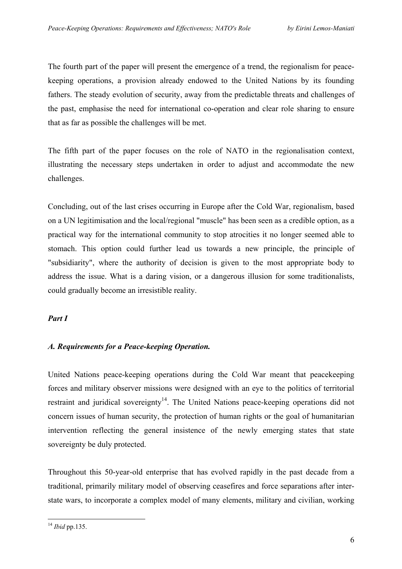The fourth part of the paper will present the emergence of a trend, the regionalism for peacekeeping operations, a provision already endowed to the United Nations by its founding fathers. The steady evolution of security, away from the predictable threats and challenges of the past, emphasise the need for international co-operation and clear role sharing to ensure that as far as possible the challenges will be met.

The fifth part of the paper focuses on the role of NATO in the regionalisation context, illustrating the necessary steps undertaken in order to adjust and accommodate the new challenges.

Concluding, out of the last crises occurring in Europe after the Cold War, regionalism, based on a UN legitimisation and the local/regional "muscle" has been seen as a credible option, as a practical way for the international community to stop atrocities it no longer seemed able to stomach. This option could further lead us towards a new principle, the principle of "subsidiarity", where the authority of decision is given to the most appropriate body to address the issue. What is a daring vision, or a dangerous illusion for some traditionalists, could gradually become an irresistible reality.

#### *Part I*

# *A. Requirements for a Peace-keeping Operation.*

United Nations peace-keeping operations during the Cold War meant that peacekeeping forces and military observer missions were designed with an eye to the politics of territorial restraint and juridical sovereignty<sup>14</sup>. The United Nations peace-keeping operations did not concern issues of human security, the protection of human rights or the goal of humanitarian intervention reflecting the general insistence of the newly emerging states that state sovereignty be duly protected.

Throughout this 50-year-old enterprise that has evolved rapidly in the past decade from a traditional, primarily military model of observing ceasefires and force separations after interstate wars, to incorporate a complex model of many elements, military and civilian, working

<span id="page-5-0"></span> $\overline{a}$ <sup>14</sup> *Ibid* pp.135.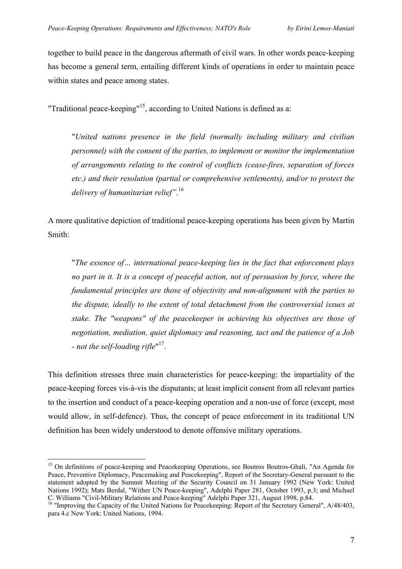together to build peace in the dangerous aftermath of civil wars. In other words peace-keeping has become a general term, entailing different kinds of operations in order to maintain peace within states and peace among states.

"Traditional peace-keeping"<sup>15</sup>, according to United Nations is defined as a:

"*United nations presence in the field (normally including military and civilian personnel) with the consent of the parties, to implement or monitor the implementation of arrangements relating to the control of conflicts (cease-fires, separation of forces etc.) and their resolution (partial or comprehensive settlements), and/or to protect the delivery of humanitarian relief"*. [16](#page-6-1) 

A more qualitative depiction of traditional peace-keeping operations has been given by Martin Smith:

"*The essence of… international peace-keeping lies in the fact that enforcement plays no part in it. It is a concept of peaceful action, not of persuasion by force, where the fundamental principles are those of objectivity and non-alignment with the parties to the dispute, ideally to the extent of total detachment from the controversial issues at stake. The "weapons" of the peacekeeper in achieving his objectives are those of negotiation, mediation, quiet diplomacy and reasoning, tact and the patience of a Job - not the self-loading rifle*" [17.](#page-6-2)

This definition stresses three main characteristics for peace-keeping: the impartiality of the peace-keeping forces vis-à-vis the disputants; at least implicit consent from all relevant parties to the insertion and conduct of a peace-keeping operation and a non-use of force (except, most would allow, in self-defence). Thus, the concept of peace enforcement in its traditional UN definition has been widely understood to denote offensive military operations.

<span id="page-6-2"></span><span id="page-6-0"></span><sup>&</sup>lt;sup>15</sup> On definitions of peace-keeping and Peacekeeping Operations, see Boutros Boutros-Ghali, "An Agenda for Peace, Preventive Diplomacy, Peacemaking and Peacekeeping", Report of the Secretary-General pursuant to the statement adopted by the Summit Meeting of the Security Council on 31 January 1992 (New York: United Nations 1992); Mats Berdal, "Wither UN Peace-keeping", Adelphi Paper 281, October 1993, p.3; and Michael C. Williams "Civil-Military Relations and Peace-keeping" Adelphi Paper 321, August 1998, p.84. 16 "Improving the Capacity of the United Nations for Peacekeeping: Report of the Secretary General", A/48/403,

<span id="page-6-1"></span>para 4.c New York: United Nations, 1994.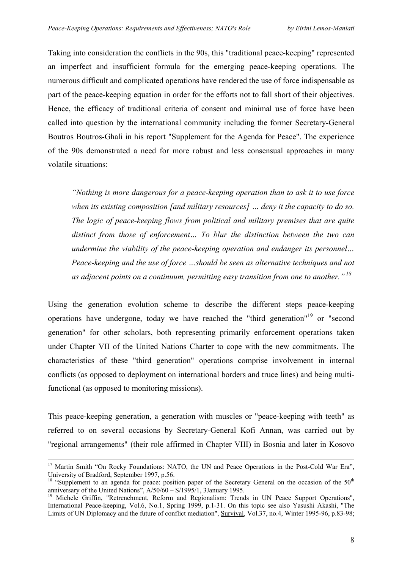<span id="page-7-1"></span>Taking into consideration the conflicts in the 90s, this "traditional peace-keeping" represented an imperfect and insufficient formula for the emerging peace-keeping operations. The numerous difficult and complicated operations have rendered the use of force indispensable as part of the peace-keeping equation in order for the efforts not to fall short of their objectives. Hence, the efficacy of traditional criteria of consent and minimal use of force have been called into question by the international community including the former Secretary-General Boutros Boutros-Ghali in his report "Supplement for the Agenda for Peace". The experience of the 90s demonstrated a need for more robust and less consensual approaches in many volatile situations:

*"Nothing is more dangerous for a peace-keeping operation than to ask it to use force when its existing composition [and military resources] … deny it the capacity to do so. The logic of peace-keeping flows from political and military premises that are quite distinct from those of enforcement… To blur the distinction between the two can undermine the viability of the peace-keeping operation and endanger its personnel… Peace-keeping and the use of force …should be seen as alternative techniques and not as adjacent points on a continuum, permitting easy transition from one to another." [18](#page-7-0)* 

Using the generation evolution scheme to describe the different steps peace-keeping operations have undergone, today we have reached the "third generation["19](#page-7-1) or "second generation" for other scholars, both representing primarily enforcement operations taken under Chapter VII of the United Nations Charter to cope with the new commitments. The characteristics of these "third generation" operations comprise involvement in internal conflicts (as opposed to deployment on international borders and truce lines) and being multifunctional (as opposed to monitoring missions).

This peace-keeping generation, a generation with muscles or "peace-keeping with teeth" as referred to on several occasions by Secretary-General Kofi Annan, was carried out by "regional arrangements" (their role affirmed in Chapter VIII) in Bosnia and later in Kosovo

<sup>&</sup>lt;sup>17</sup> Martin Smith "On Rocky Foundations: NATO, the UN and Peace Operations in the Post-Cold War Era",

<span id="page-7-0"></span>University of Bradford, September 1997, p.56.<br><sup>18</sup> "Supplement to an agenda for peace: position paper of the Secretary General on the occasion of the 50<sup>th</sup> anniversary of the United Nations", A/50/60 – S/1995/1, 3January

<sup>&</sup>lt;sup>19</sup> Michele Griffin, "Retrenchment, Reform and Regionalism: Trends in UN Peace Support Operations", International Peace-keeping, Vol.6, No.1, Spring 1999, p.1-31. On this topic see also Yasushi Akashi, "The Limits of UN Diplomacy and the future of conflict mediation", Survival, Vol.37, no.4, Winter 1995-96, p.83-98;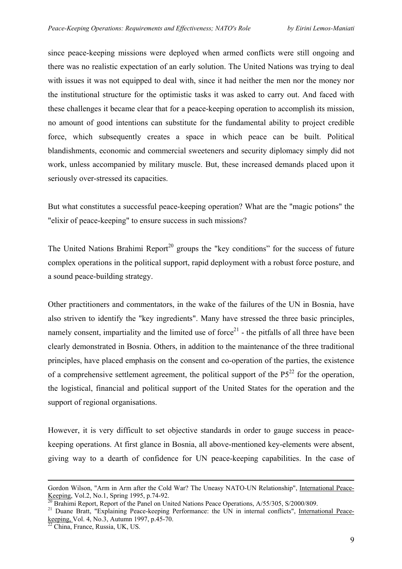since peace-keeping missions were deployed when armed conflicts were still ongoing and there was no realistic expectation of an early solution. The United Nations was trying to deal with issues it was not equipped to deal with, since it had neither the men nor the money nor the institutional structure for the optimistic tasks it was asked to carry out. And faced with these challenges it became clear that for a peace-keeping operation to accomplish its mission, no amount of good intentions can substitute for the fundamental ability to project credible force, which subsequently creates a space in which peace can be built. Political blandishments, economic and commercial sweeteners and security diplomacy simply did not work, unless accompanied by military muscle. But, these increased demands placed upon it seriously over-stressed its capacities.

But what constitutes a successful peace-keeping operation? What are the "magic potions" the "elixir of peace-keeping" to ensure success in such missions?

The United Nations Brahimi Report<sup>20</sup> groups the "key conditions" for the success of future complex operations in the political support, rapid deployment with a robust force posture, and a sound peace-building strategy.

Other practitioners and commentators, in the wake of the failures of the UN in Bosnia, have also striven to identify the "key ingredients". Many have stressed the three basic principles, namely consent, impartiality and the limited use of force<sup>21</sup> - the pitfalls of all three have been clearly demonstrated in Bosnia. Others, in addition to the maintenance of the three traditional principles, have placed emphasis on the consent and co-operation of the parties, the existence of a comprehensive settlement agreement, the political support of the  $P5^{22}$  for the operation, the logistical, financial and political support of the United States for the operation and the support of regional organisations.

However, it is very difficult to set objective standards in order to gauge success in peacekeeping operations. At first glance in Bosnia, all above-mentioned key-elements were absent, giving way to a dearth of confidence for UN peace-keeping capabilities. In the case of

Gordon Wilson, "Arm in Arm after the Cold War? The Uneasy NATO-UN Relationship", <u>International Peace-Keeping</u>, Vol.2, No.1, Spring 1995, p.74-92.

<span id="page-8-1"></span><span id="page-8-0"></span>

 $\frac{20}{21}$  Brahimi Report, Report of the Panel on United Nations Peace Operations, A/55/305, S/2000/809.<br><sup>21</sup> Duane Bratt, "Explaining Peace-keeping Performance: the UN in internal conflicts", <u>International Peace-</u> keeping, Vol. 4, No.3, Autumn 1997, p.45-70.<br> $\frac{22}{22}$ China, France, Russia, UK, US.

<span id="page-8-2"></span>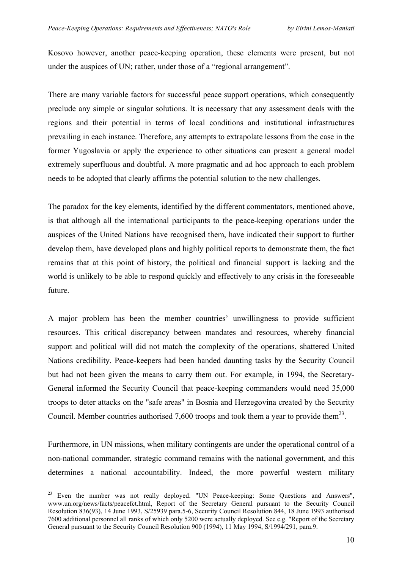Kosovo however, another peace-keeping operation, these elements were present, but not under the auspices of UN; rather, under those of a "regional arrangement".

There are many variable factors for successful peace support operations, which consequently preclude any simple or singular solutions. It is necessary that any assessment deals with the regions and their potential in terms of local conditions and institutional infrastructures prevailing in each instance. Therefore, any attempts to extrapolate lessons from the case in the former Yugoslavia or apply the experience to other situations can present a general model extremely superfluous and doubtful. A more pragmatic and ad hoc approach to each problem needs to be adopted that clearly affirms the potential solution to the new challenges.

The paradox for the key elements, identified by the different commentators, mentioned above, is that although all the international participants to the peace-keeping operations under the auspices of the United Nations have recognised them, have indicated their support to further develop them, have developed plans and highly political reports to demonstrate them, the fact remains that at this point of history, the political and financial support is lacking and the world is unlikely to be able to respond quickly and effectively to any crisis in the foreseeable future.

A major problem has been the member countries' unwillingness to provide sufficient resources. This critical discrepancy between mandates and resources, whereby financial support and political will did not match the complexity of the operations, shattered United Nations credibility. Peace-keepers had been handed daunting tasks by the Security Council but had not been given the means to carry them out. For example, in 1994, the Secretary-General informed the Security Council that peace-keeping commanders would need 35,000 troops to deter attacks on the "safe areas" in Bosnia and Herzegovina created by the Security Council. Member countries authorised 7,600 troops and took them a year to provide them<sup>23</sup>.

Furthermore, in UN missions, when military contingents are under the operational control of a non-national commander, strategic command remains with the national government, and this determines a national accountability. Indeed, the more powerful western military

<span id="page-9-0"></span><sup>&</sup>lt;sup>23</sup> Even the number was not really deployed. "UN Peace-keeping: Some Questions and Answers", [www.un.org/news/facts/peacefct.html](http://www.un.org/news/facts/peacefct.html), Report of the Secretary General pursuant to the Security Council Resolution 836(93), 14 June 1993, S/25939 para.5-6, Security Council Resolution 844, 18 June 1993 authorised 7600 additional personnel all ranks of which only 5200 were actually deployed. See e.g. "Report of the Secretary General pursuant to the Security Council Resolution 900 (1994), 11 May 1994, S/1994/291, para.9.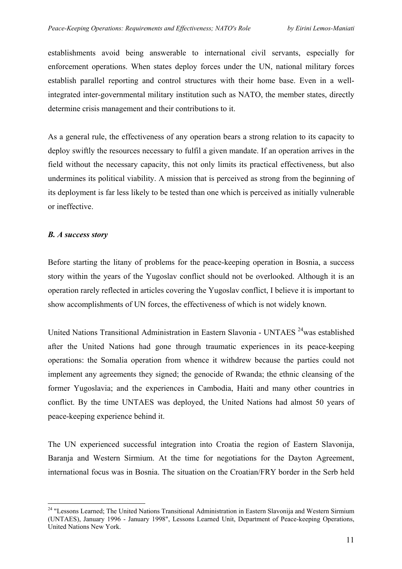establishments avoid being answerable to international civil servants, especially for enforcement operations. When states deploy forces under the UN, national military forces establish parallel reporting and control structures with their home base. Even in a wellintegrated inter-governmental military institution such as NATO, the member states, directly determine crisis management and their contributions to it.

As a general rule, the effectiveness of any operation bears a strong relation to its capacity to deploy swiftly the resources necessary to fulfil a given mandate. If an operation arrives in the field without the necessary capacity, this not only limits its practical effectiveness, but also undermines its political viability. A mission that is perceived as strong from the beginning of its deployment is far less likely to be tested than one which is perceived as initially vulnerable or ineffective.

## *B. A success story*

 $\overline{a}$ 

Before starting the litany of problems for the peace-keeping operation in Bosnia, a success story within the years of the Yugoslav conflict should not be overlooked. Although it is an operation rarely reflected in articles covering the Yugoslav conflict, I believe it is important to show accomplishments of UN forces, the effectiveness of which is not widely known.

United Nations Transitional Administration in Eastern Slavonia - UNTAES [24w](#page-10-0)as established after the United Nations had gone through traumatic experiences in its peace-keeping operations: the Somalia operation from whence it withdrew because the parties could not implement any agreements they signed; the genocide of Rwanda; the ethnic cleansing of the former Yugoslavia; and the experiences in Cambodia, Haiti and many other countries in conflict. By the time UNTAES was deployed, the United Nations had almost 50 years of peace-keeping experience behind it.

The UN experienced successful integration into Croatia the region of Eastern Slavonija, Baranja and Western Sirmium. At the time for negotiations for the Dayton Agreement, international focus was in Bosnia. The situation on the Croatian/FRY border in the Serb held

<span id="page-10-0"></span><sup>&</sup>lt;sup>24</sup> "Lessons Learned; The United Nations Transitional Administration in Eastern Slavonija and Western Sirmium (UNTAES), January 1996 - January 1998", Lessons Learned Unit, Department of Peace-keeping Operations, United Nations New York.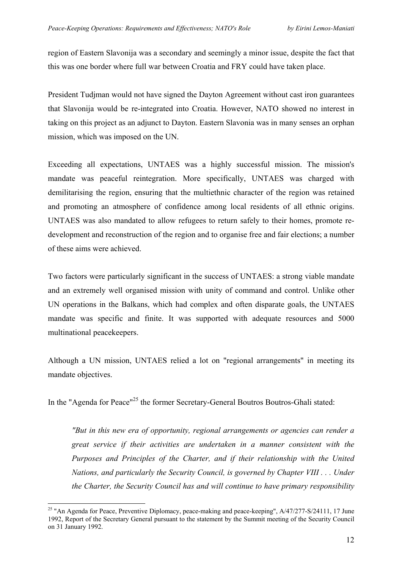region of Eastern Slavonija was a secondary and seemingly a minor issue, despite the fact that this was one border where full war between Croatia and FRY could have taken place.

President Tudjman would not have signed the Dayton Agreement without cast iron guarantees that Slavonija would be re-integrated into Croatia. However, NATO showed no interest in taking on this project as an adjunct to Dayton. Eastern Slavonia was in many senses an orphan mission, which was imposed on the UN.

Exceeding all expectations, UNTAES was a highly successful mission. The mission's mandate was peaceful reintegration. More specifically, UNTAES was charged with demilitarising the region, ensuring that the multiethnic character of the region was retained and promoting an atmosphere of confidence among local residents of all ethnic origins. UNTAES was also mandated to allow refugees to return safely to their homes, promote redevelopment and reconstruction of the region and to organise free and fair elections; a number of these aims were achieved.

Two factors were particularly significant in the success of UNTAES: a strong viable mandate and an extremely well organised mission with unity of command and control. Unlike other UN operations in the Balkans, which had complex and often disparate goals, the UNTAES mandate was specific and finite. It was supported with adequate resources and 5000 multinational peacekeepers.

Although a UN mission, UNTAES relied a lot on "regional arrangements" in meeting its mandate objectives.

In the "Agenda for Peace"<sup>25</sup> the former Secretary-General Boutros Boutros-Ghali stated:

*"But in this new era of opportunity, regional arrangements or agencies can render a great service if their activities are undertaken in a manner consistent with the Purposes and Principles of the Charter, and if their relationship with the United Nations, and particularly the Security Council, is governed by Chapter VIII . . . Under the Charter, the Security Council has and will continue to have primary responsibility* 

<span id="page-11-0"></span><sup>&</sup>lt;sup>25</sup> "An Agenda for Peace, Preventive Diplomacy, peace-making and peace-keeping",  $A/47/277-S/24111$ , 17 June 1992, Report of the Secretary General pursuant to the statement by the Summit meeting of the Security Council on 31 January 1992.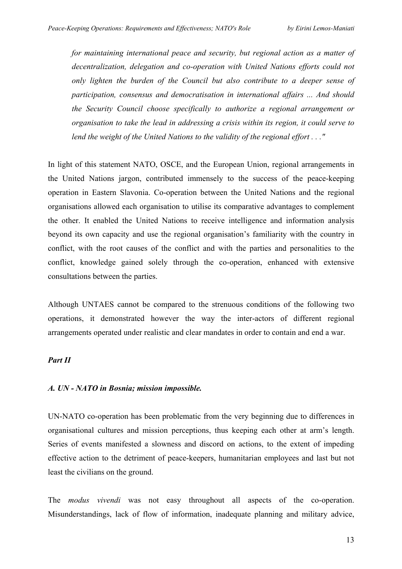*for maintaining international peace and security, but regional action as a matter of decentralization, delegation and co-operation with United Nations efforts could not only lighten the burden of the Council but also contribute to a deeper sense of participation, consensus and democratisation in international affairs ... And should the Security Council choose specifically to authorize a regional arrangement or organisation to take the lead in addressing a crisis within its region, it could serve to lend the weight of the United Nations to the validity of the regional effort . . ."* 

In light of this statement NATO, OSCE, and the European Union, regional arrangements in the United Nations jargon, contributed immensely to the success of the peace-keeping operation in Eastern Slavonia. Co-operation between the United Nations and the regional organisations allowed each organisation to utilise its comparative advantages to complement the other. It enabled the United Nations to receive intelligence and information analysis beyond its own capacity and use the regional organisation's familiarity with the country in conflict, with the root causes of the conflict and with the parties and personalities to the conflict, knowledge gained solely through the co-operation, enhanced with extensive consultations between the parties.

Although UNTAES cannot be compared to the strenuous conditions of the following two operations, it demonstrated however the way the inter-actors of different regional arrangements operated under realistic and clear mandates in order to contain and end a war.

# *Part II*

#### *A. UN - NATO in Bosnia; mission impossible.*

UN-NATO co-operation has been problematic from the very beginning due to differences in organisational cultures and mission perceptions, thus keeping each other at arm's length. Series of events manifested a slowness and discord on actions, to the extent of impeding effective action to the detriment of peace-keepers, humanitarian employees and last but not least the civilians on the ground.

The *modus vivendi* was not easy throughout all aspects of the co-operation. Misunderstandings, lack of flow of information, inadequate planning and military advice,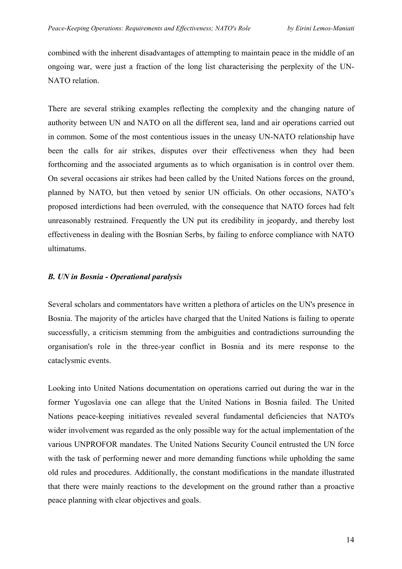combined with the inherent disadvantages of attempting to maintain peace in the middle of an ongoing war, were just a fraction of the long list characterising the perplexity of the UN-NATO relation.

There are several striking examples reflecting the complexity and the changing nature of authority between UN and NATO on all the different sea, land and air operations carried out in common. Some of the most contentious issues in the uneasy UN-NATO relationship have been the calls for air strikes, disputes over their effectiveness when they had been forthcoming and the associated arguments as to which organisation is in control over them. On several occasions air strikes had been called by the United Nations forces on the ground, planned by NATO, but then vetoed by senior UN officials. On other occasions, NATO's proposed interdictions had been overruled, with the consequence that NATO forces had felt unreasonably restrained. Frequently the UN put its credibility in jeopardy, and thereby lost effectiveness in dealing with the Bosnian Serbs, by failing to enforce compliance with NATO ultimatums.

## *B. UN in Bosnia - Operational paralysis*

Several scholars and commentators have written a plethora of articles on the UN's presence in Bosnia. The majority of the articles have charged that the United Nations is failing to operate successfully, a criticism stemming from the ambiguities and contradictions surrounding the organisation's role in the three-year conflict in Bosnia and its mere response to the cataclysmic events.

Looking into United Nations documentation on operations carried out during the war in the former Yugoslavia one can allege that the United Nations in Bosnia failed. The United Nations peace-keeping initiatives revealed several fundamental deficiencies that NATO's wider involvement was regarded as the only possible way for the actual implementation of the various UNPROFOR mandates. The United Nations Security Council entrusted the UN force with the task of performing newer and more demanding functions while upholding the same old rules and procedures. Additionally, the constant modifications in the mandate illustrated that there were mainly reactions to the development on the ground rather than a proactive peace planning with clear objectives and goals.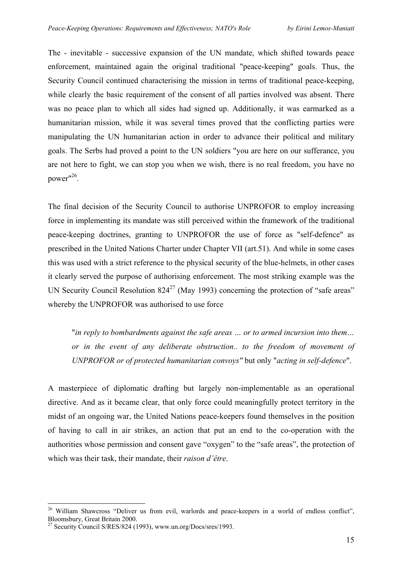The - inevitable - successive expansion of the UN mandate, which shifted towards peace enforcement, maintained again the original traditional "peace-keeping" goals. Thus, the Security Council continued characterising the mission in terms of traditional peace-keeping, while clearly the basic requirement of the consent of all parties involved was absent. There was no peace plan to which all sides had signed up. Additionally, it was earmarked as a humanitarian mission, while it was several times proved that the conflicting parties were manipulating the UN humanitarian action in order to advance their political and military goals. The Serbs had proved a point to the UN soldiers "you are here on our sufferance, you are not here to fight, we can stop you when we wish, there is no real freedom, you have no power"[26.](#page-14-0)

The final decision of the Security Council to authorise UNPROFOR to employ increasing force in implementing its mandate was still perceived within the framework of the traditional peace-keeping doctrines, granting to UNPROFOR the use of force as "self-defence" as prescribed in the United Nations Charter under Chapter VII (art.51). And while in some cases this was used with a strict reference to the physical security of the blue-helmets, in other cases it clearly served the purpose of authorising enforcement. The most striking example was the UN Security Council Resolution  $824^{27}$  (May 1993) concerning the protection of "safe areas" whereby the UNPROFOR was authorised to use force

"*in reply to bombardments against the safe areas … or to armed incursion into them… or in the event of any deliberate obstruction.. to the freedom of movement of UNPROFOR or of protected humanitarian convoys"* but only "*acting in self-defence*".

A masterpiece of diplomatic drafting but largely non-implementable as an operational directive. And as it became clear, that only force could meaningfully protect territory in the midst of an ongoing war, the United Nations peace-keepers found themselves in the position of having to call in air strikes, an action that put an end to the co-operation with the authorities whose permission and consent gave "oxygen" to the "safe areas", the protection of which was their task, their mandate, their *raison d'être*.

<span id="page-14-0"></span> $\overline{a}$ <sup>26</sup> William Shawcross "Deliver us from evil, warlords and peace-keepers in a world of endless conflict", Bloomsbury, Great Britain 2000.<br><sup>27</sup> Security Council S/RES/824 (1993), www.un.org/Docs/sres/1993.

<span id="page-14-1"></span>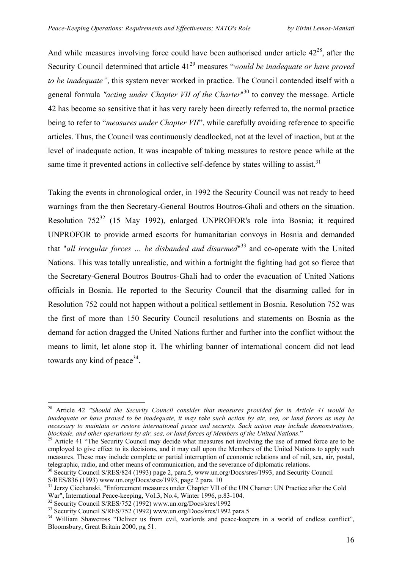And while measures involving force could have been authorised under article  $42^{28}$ , after the Security Council determined that article 41<sup>29</sup> measures "*would be inadequate or have proved to be inadequate"*, this system never worked in practice. The Council contended itself with a general formula "*acting under Chapter VII of the Charter*"<sup>30</sup> to convey the message. Article 42 has become so sensitive that it has very rarely been directly referred to, the normal practice being to refer to "*measures under Chapter VII*", while carefully avoiding reference to specific articles. Thus, the Council was continuously deadlocked, not at the level of inaction, but at the level of inadequate action. It was incapable of taking measures to restore peace while at the same time it prevented actions in collective self-defence by states willing to assist.<sup>[31](#page-15-3)</sup>

Taking the events in chronological order, in 1992 the Security Council was not ready to heed warnings from the then Secretary-General Boutros Boutros-Ghali and others on the situation. Resolution  $752^{32}$  (15 May 1992), enlarged UNPROFOR's role into Bosnia; it required UNPROFOR to provide armed escorts for humanitarian convoys in Bosnia and demanded that "*all irregular forces … be disbanded and disarmed*" [33](#page-15-5) and co-operate with the United Nations. This was totally unrealistic, and within a fortnight the fighting had got so fierce that the Secretary-General Boutros Boutros-Ghali had to order the evacuation of United Nations officials in Bosnia. He reported to the Security Council that the disarming called for in Resolution 752 could not happen without a political settlement in Bosnia. Resolution 752 was the first of more than 150 Security Council resolutions and statements on Bosnia as the demand for action dragged the United Nations further and further into the conflict without the means to limit, let alone stop it. The whirling banner of international concern did not lead towards any kind of peace  $34$ .

<span id="page-15-0"></span><sup>28</sup> Article 42 *"Should the Security Council consider that measures provided for in Article 41 would be inadequate or have proved to be inadequate, it may take such action by air, sea, or land forces as may be necessary to maintain or restore international peace and security. Such action may include demonstrations,* 

<span id="page-15-1"></span><sup>&</sup>lt;sup>29</sup> Article 41 "The Security Council may decide what measures not involving the use of armed force are to be employed to give effect to its decisions, and it may call upon the Members of the United Nations to apply such measures. These may include complete or partial interruption of economic relations and of rail, sea, air, postal,

<span id="page-15-2"></span>telegraphic, radio, and other means of communication[, and the severance of diplom](http://www.un.org/Docs/sres/1993)atic relations.<br><sup>30</sup> Security Council S/RES/824 (1993) page 2, para.5, www.un.org/Docs/sres/1993, and Security Council

<span id="page-15-3"></span>

S/RES/836 (1993) [www.un.org/Docs/sres/1993](http://www.un.org/Docs/sres/1993), page 2 para. 10<br><sup>31</sup> Jerzy Ciechanski, "Enforcement measures under Chapter VII of the UN Charter: UN Practice after the Cold<br>War", <u>International Peace-keeping</u>, Vol.3, No.4, Win

<span id="page-15-4"></span>

<span id="page-15-6"></span><span id="page-15-5"></span>

<sup>&</sup>lt;sup>32</sup> Security Council S/RES/752 (1992) www.un.org/Docs/sres/1992<br><sup>33</sup> Security Council S/RES/752 (1992) [www.un.org/Docs/sres/1992](http://www.un.org/Docs/sres/1992 para.5) para.5<br><sup>34</sup> William Shawcross "Deliver us from evil, warlords and peace-keepers in a world Bloomsbury, Great Britain 2000, pg 51.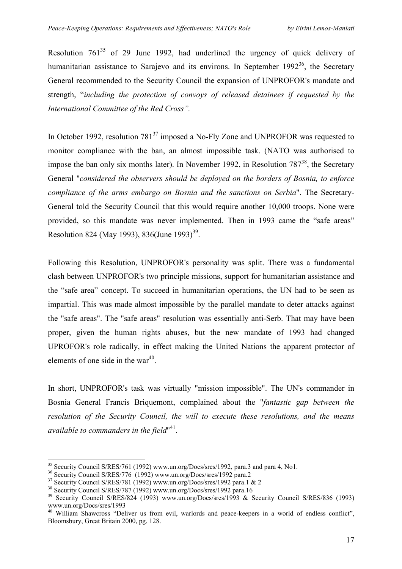Resolution  $761^{35}$  of 29 June 1992, had underlined the urgency of quick delivery of humanitarian assistance to Sarajevo and its environs. In September  $1992^{36}$ , the Secretary General recommended to the Security Council the expansion of UNPROFOR's mandate and strength, "*including the protection of convoys of released detainees if requested by the International Committee of the Red Cross".* 

In October 1992, resolution  $781^{37}$  imposed a No-Fly Zone and UNPROFOR was requested to monitor compliance with the ban, an almost impossible task. (NATO was authorised to impose the ban only six months later). In November 1992, in Resolution  $787^{38}$ , the Secretary General "*considered the observers should be deployed on the borders of Bosnia, to enforce compliance of the arms embargo on Bosnia and the sanctions on Serbia*". The Secretary-General told the Security Council that this would require another 10,000 troops. None were provided, so this mandate was never implemented. Then in 1993 came the "safe areas" Resolution 824 (May 1993), 836(June 1993)<sup>39</sup>.

Following this Resolution, UNPROFOR's personality was split. There was a fundamental clash between UNPROFOR's two principle missions, support for humanitarian assistance and the "safe area" concept. To succeed in humanitarian operations, the UN had to be seen as impartial. This was made almost impossible by the parallel mandate to deter attacks against the "safe areas". The "safe areas" resolution was essentially anti-Serb. That may have been proper, given the human rights abuses, but the new mandate of 1993 had changed UPROFOR's role radically, in effect making the United Nations the apparent protector of elements of one side in the war $40$ .

In short, UNPROFOR's task was virtually "mission impossible". The UN's commander in Bosnia General Francis Briquemont, complained about the "*fantastic gap between the resolution of the Security Council, the will to execute these resolutions, and the means available to commanders in the field*" [41.](#page-16-6)

<span id="page-16-0"></span>

<span id="page-16-6"></span><span id="page-16-1"></span>

<span id="page-16-2"></span>

<span id="page-16-4"></span><span id="page-16-3"></span>

<sup>&</sup>lt;sup>35</sup> Security Council S/RES/761 (1992) [www.un.org/Docs/sres/1992,](http://www.un.org/Docs/sres/1992) para.3 and para 4, No1.<br><sup>36</sup> Security Council S/RES/776 (1992) [www.un.org/Docs/sres/1992 para.2](http://www.un.org/Docs/sres/1992 para.1)<br><sup>37</sup> Security Council S/RES/781 (1992) www.un.org/Docs/sres [www.un.org/Docs/sres/1993](http://www.un.org/Docs/sres/1992)<br><sup>40</sup> William Shawcross "Deliver us from evil, warlords and peace-keepers in a world of endless conflict",

<span id="page-16-5"></span>Bloomsbury, Great Britain 2000, pg. 128.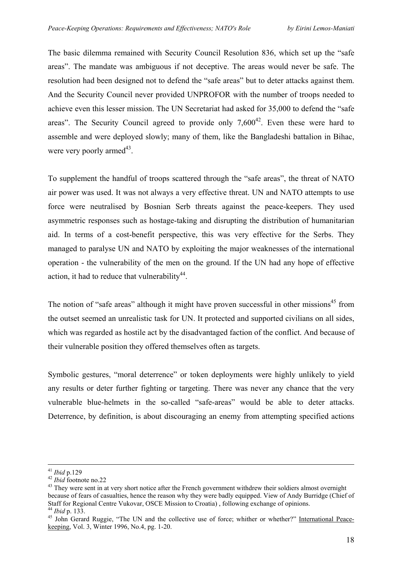The basic dilemma remained with Security Council Resolution 836, which set up the "safe areas". The mandate was ambiguous if not deceptive. The areas would never be safe. The resolution had been designed not to defend the "safe areas" but to deter attacks against them. And the Security Council never provided UNPROFOR with the number of troops needed to achieve even this lesser mission. The UN Secretariat had asked for 35,000 to defend the "safe areas". The Security Council agreed to provide only  $7.600^{42}$ . Even these were hard to assemble and were deployed slowly; many of them, like the Bangladeshi battalion in Bihac, were very poorly armed<sup>43</sup>.

To supplement the handful of troops scattered through the "safe areas", the threat of NATO air power was used. It was not always a very effective threat. UN and NATO attempts to use force were neutralised by Bosnian Serb threats against the peace-keepers. They used asymmetric responses such as hostage-taking and disrupting the distribution of humanitarian aid. In terms of a cost-benefit perspective, this was very effective for the Serbs. They managed to paralyse UN and NATO by exploiting the major weaknesses of the international operation - the vulnerability of the men on the ground. If the UN had any hope of effective action, it had to reduce that vulnerability $44$ .

The notion of "safe areas" although it might have proven successful in other missions<sup>45</sup> from the outset seemed an unrealistic task for UN. It protected and supported civilians on all sides, which was regarded as hostile act by the disadvantaged faction of the conflict. And because of their vulnerable position they offered themselves often as targets.

Symbolic gestures, "moral deterrence" or token deployments were highly unlikely to yield any results or deter further fighting or targeting. There was never any chance that the very vulnerable blue-helmets in the so-called "safe-areas" would be able to deter attacks. Deterrence, by definition, is about discouraging an enemy from attempting specified actions

<span id="page-17-1"></span><span id="page-17-0"></span>

<sup>&</sup>lt;sup>41</sup> *Ibid* p.129<br><sup>42</sup> *Ibid* footnote no.22<br><sup>43</sup> They were sent in at very short notice after the French government withdrew their soldiers almost overnight because of fears of casualties, hence the reason why they were badly equipped. View of Andy Burridge (Chief of Staff for Regional Centre Vukovar, OSCE Mission to Croatia), following exchange of opinions.<br><sup>44</sup> *Ibid* p. 133.<br><sup>45</sup> John Gerard Ruggie, "The UN and the collective use of force; whither or whether?" International Peace-

<span id="page-17-3"></span><span id="page-17-2"></span>keeping, Vol. 3, Winter 1996, No.4, pg. 1-20.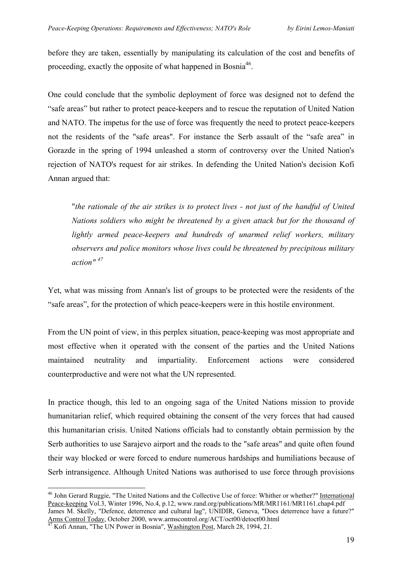before they are taken, essentially by manipulating its calculation of the cost and benefits of proceeding, exactly the opposite of what happened in Bosnia<sup>46</sup>.

One could conclude that the symbolic deployment of force was designed not to defend the "safe areas" but rather to protect peace-keepers and to rescue the reputation of United Nation and NATO. The impetus for the use of force was frequently the need to protect peace-keepers not the residents of the "safe areas". For instance the Serb assault of the "safe area" in Gorazde in the spring of 1994 unleashed a storm of controversy over the United Nation's rejection of NATO's request for air strikes. In defending the United Nation's decision Kofi Annan argued that:

"*the rationale of the air strikes is to protect lives - not just of the handful of United Nations soldiers who might be threatened by a given attack but for the thousand of lightly armed peace-keepers and hundreds of unarmed relief workers, military observers and police monitors whose lives could be threatened by precipitous military action" [47](#page-18-1)*

Yet, what was missing from Annan's list of groups to be protected were the residents of the "safe areas", for the protection of which peace-keepers were in this hostile environment.

From the UN point of view, in this perplex situation, peace-keeping was most appropriate and most effective when it operated with the consent of the parties and the United Nations maintained neutrality and impartiality. Enforcement actions were considered counterproductive and were not what the UN represented.

In practice though, this led to an ongoing saga of the United Nations mission to provide humanitarian relief, which required obtaining the consent of the very forces that had caused this humanitarian crisis. United Nations officials had to constantly obtain permission by the Serb authorities to use Sarajevo airport and the roads to the "safe areas" and quite often found their way blocked or were forced to endure numerous hardships and humiliations because of Serb intransigence. Although United Nations was authorised to use force through provisions

<span id="page-18-0"></span> $\overline{a}$ <sup>46</sup> John Gerard Ruggie, "The United Nations and the Collective Use of force: Whither or whether?" International Peace-keeping Vol.3, Winter 1996, No.4, p.12, [www.rand.org/publications/MR/MR1161/MR1161.chap4.pdf](http://www.rand.org/publications/MR/MR1161/MR1161.chap4.pdf)

James M. Skelly, "Defence, deterrence and cultural lag", UNIDIR, Geneva, "Does deterrence have a future?" Arms Control Today, October 2000, www.armscontrol.org/ACT/oct00/detoct00.html 47 Kofi Annan, "The UN Power in Bosnia", Washington Post, March 28, 1994, 21.

<span id="page-18-1"></span>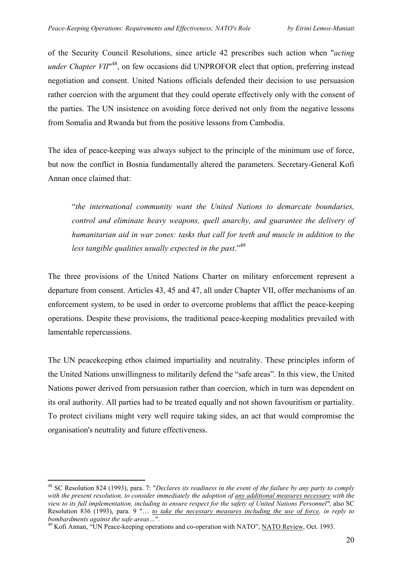of the Security Council Resolutions, since article 42 prescribes such action when "*acting under Chapter VII*<sup>"48</sup>, on few occasions did UNPROFOR elect that option, preferring instead negotiation and consent. United Nations officials defended their decision to use persuasion rather coercion with the argument that they could operate effectively only with the consent of the parties. The UN insistence on avoiding force derived not only from the negative lessons from Somalia and Rwanda but from the positive lessons from Cambodia.

The idea of peace-keeping was always subject to the principle of the minimum use of force, but now the conflict in Bosnia fundamentally altered the parameters. Secretary-General Kofi Annan once claimed that:

"*the international community want the United Nations to demarcate boundaries, control and eliminate heavy weapons, quell anarchy, and guarantee the delivery of humanitarian aid in war zones: tasks that call for teeth and muscle in addition to the less tangible qualities usually expected in the past*."[49](#page-19-1)

The three provisions of the United Nations Charter on military enforcement represent a departure from consent. Articles 43, 45 and 47, all under Chapter VII, offer mechanisms of an enforcement system, to be used in order to overcome problems that afflict the peace-keeping operations. Despite these provisions, the traditional peace-keeping modalities prevailed with lamentable repercussions.

The UN peacekeeping ethos claimed impartiality and neutrality. These principles inform of the United Nations unwillingness to militarily defend the "safe areas". In this view, the United Nations power derived from persuasion rather than coercion, which in turn was dependent on its oral authority. All parties had to be treated equally and not shown favouritism or partiality. To protect civilians might very well require taking sides, an act that would compromise the organisation's neutrality and future effectiveness.

<span id="page-19-0"></span><sup>48</sup> SC Resolution 824 (1993), para. 7: "*Declares its readiness in the event of the failure by any party to comply with the present resolution, to consider immediately the adoption of any additional measures necessary with the view to its full implementation, including to ensure respect for the safety of United Nations Personnel",* also SC Resolution 836 (1993), para. 9 "… *to take the necessary measures including the use of force, in reply to*

<span id="page-19-1"></span><sup>&</sup>lt;sup>49</sup> Kofi Annan, "UN Peace-keeping operations and co-operation with NATO", NATO Review, Oct. 1993.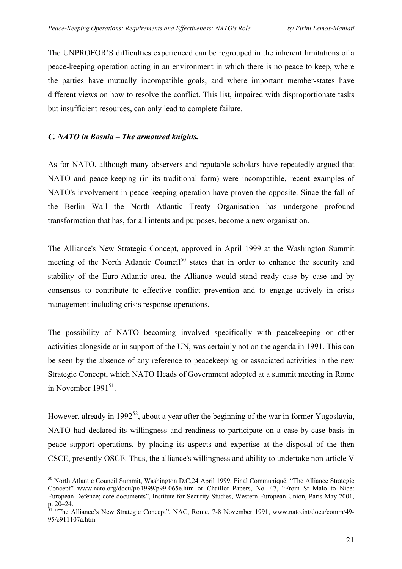The UNPROFOR'S difficulties experienced can be regrouped in the inherent limitations of a peace-keeping operation acting in an environment in which there is no peace to keep, where the parties have mutually incompatible goals, and where important member-states have different views on how to resolve the conflict. This list, impaired with disproportionate tasks but insufficient resources, can only lead to complete failure.

## *C. NATO in Bosnia – The armoured knights.*

<span id="page-20-2"></span> $\overline{a}$ 

As for NATO, although many observers and reputable scholars have repeatedly argued that NATO and peace-keeping (in its traditional form) were incompatible, recent examples of NATO's involvement in peace-keeping operation have proven the opposite. Since the fall of the Berlin Wall the North Atlantic Treaty Organisation has undergone profound transformation that has, for all intents and purposes, become a new organisation.

The Alliance's New Strategic Concept, approved in April 1999 at the Washington Summit meeting of the North Atlantic Council<sup>50</sup> states that in order to enhance the security and stability of the Euro-Atlantic area, the Alliance would stand ready case by case and by consensus to contribute to effective conflict prevention and to engage actively in crisis management including crisis response operations.

The possibility of NATO becoming involved specifically with peacekeeping or other activities alongside or in support of the UN, was certainly not on the agenda in 1991. This can be seen by the absence of any reference to peacekeeping or associated activities in the new Strategic Concept, which NATO Heads of Government adopted at a summit meeting in Rome in November  $1991^{51}$ .

However, already in 1992<sup>52</sup>, about a year after the beginning of the war in former Yugoslavia, NATO had declared its willingness and readiness to participate on a case-by-case basis in peace support operations, by placing its aspects and expertise at the disposal of the then CSCE, presently OSCE. Thus, the alliance's willingness and ability to undertake non-article V

<span id="page-20-0"></span><sup>&</sup>lt;sup>50</sup> North Atlantic Council Summit, Washington D.C, 24 April 1999, Final Communiqué, "The Alliance Strategic Concept" [www.nato.org/docu/pr/1999/p99-065e.htm](http://www.nato.org/docs) or Chaillot Papers, No. 47, "From St Malo to Nice: European Defence; core documents", Institute for Security Studies, Western European Union, Paris May 2001, p. 20–24.

<span id="page-20-1"></span><sup>&</sup>lt;sup>31</sup> "The Alliance's New Strategic Concept", NAC, Rome, 7-8 November 1991, www.nato.int/docu/comm/49-95/c911107a.htm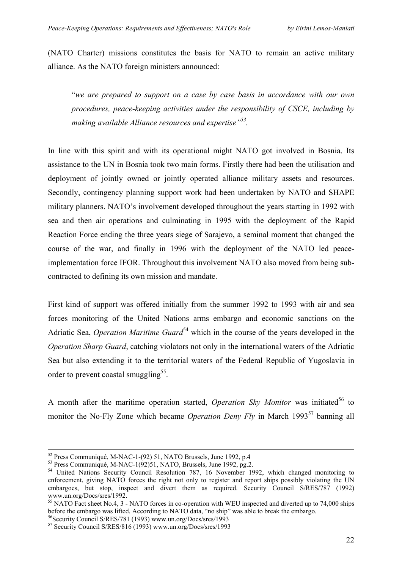(NATO Charter) missions constitutes the basis for NATO to remain an active military alliance. As the NATO foreign ministers announced:

"*we are prepared to support on a case by case basis in accordance with our own procedures, peace-keeping activities under the responsibility of CSCE, including by making available Alliance resources and expertise["53.](#page-21-0)* 

In line with this spirit and with its operational might NATO got involved in Bosnia. Its assistance to the UN in Bosnia took two main forms. Firstly there had been the utilisation and deployment of jointly owned or jointly operated alliance military assets and resources. Secondly, contingency planning support work had been undertaken by NATO and SHAPE military planners. NATO's involvement developed throughout the years starting in 1992 with sea and then air operations and culminating in 1995 with the deployment of the Rapid Reaction Force ending the three years siege of Sarajevo, a seminal moment that changed the course of the war, and finally in 1996 with the deployment of the NATO led peaceimplementation force IFOR. Throughout this involvement NATO also moved from being subcontracted to defining its own mission and mandate.

First kind of support was offered initially from the summer 1992 to 1993 with air and sea forces monitoring of the United Nations arms embargo and economic sanctions on the Adriatic Sea, *Operation Maritime Guard*<sup>54</sup> which in the course of the years developed in the *Operation Sharp Guard*, catching violators not only in the international waters of the Adriatic Sea but also extending it to the territorial waters of the Federal Republic of Yugoslavia in order to prevent coastal smuggling<sup>55</sup>.

A month after the maritime operation started, *Operation Skv Monitor* was initiated<sup>56</sup> to monitor the No-Fly Zone which became *Operation Deny Fly* in March 1993<sup>57</sup> banning all

<span id="page-21-1"></span><span id="page-21-0"></span>

<sup>&</sup>lt;sup>52</sup> Press Communiqué, M-NAC-1-(92) 51, NATO Brussels, June 1992, p.4<br><sup>53</sup> Press Communiqué, M-NAC-1(92)51, NATO, Brussels, June 1992, pg.2.<br><sup>54</sup> United Nations Security Council Resolution 787, 16 November 1992, which cha enforcement, giving NATO forces the right not only to register and report ships possibly violating the UN embargoes, but stop, inspect and divert them as required. Security Council S/RES/787 (1992) [www.un.org/Docs/sres/1992.](http://www.un.org/Docs/sres/1992)<br>
<sup>55</sup> NATO Fact sheet No.4, 3 - NATO forces in co-operation with WEU inspected and diverted up to 74,000 ships

<span id="page-21-2"></span>before the embargo was lifted. According to NATO data, "no ship" was able to break the embargo.<br><sup>56</sup>Security Council S/RES/781 (1993) www.un.org/Docs/sres/1993<br><sup>57</sup> Security Council S/RES/816 (1993) www.un.org/Docs/sres/19

<span id="page-21-3"></span>

<span id="page-21-4"></span>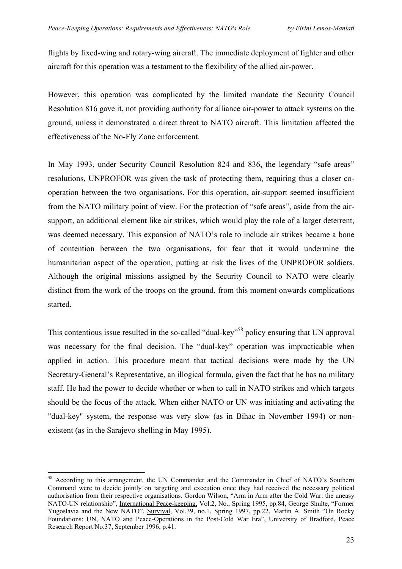flights by fixed-wing and rotary-wing aircraft. The immediate deployment of fighter and other aircraft for this operation was a testament to the flexibility of the allied air-power.

However, this operation was complicated by the limited mandate the Security Council Resolution 816 gave it, not providing authority for alliance air-power to attack systems on the ground, unless it demonstrated a direct threat to NATO aircraft. This limitation affected the effectiveness of the No-Fly Zone enforcement.

In May 1993, under Security Council Resolution 824 and 836, the legendary "safe areas" resolutions, UNPROFOR was given the task of protecting them, requiring thus a closer cooperation between the two organisations. For this operation, air-support seemed insufficient from the NATO military point of view. For the protection of "safe areas", aside from the airsupport, an additional element like air strikes, which would play the role of a larger deterrent, was deemed necessary. This expansion of NATO's role to include air strikes became a bone of contention between the two organisations, for fear that it would undermine the humanitarian aspect of the operation, putting at risk the lives of the UNPROFOR soldiers. Although the original missions assigned by the Security Council to NATO were clearly distinct from the work of the troops on the ground, from this moment onwards complications started.

This contentious issue resulted in the so-called "dual-key"<sup>58</sup> policy ensuring that UN approval was necessary for the final decision. The "dual-key" operation was impracticable when applied in action. This procedure meant that tactical decisions were made by the UN Secretary-General's Representative, an illogical formula, given the fact that he has no military staff. He had the power to decide whether or when to call in NATO strikes and which targets should be the focus of the attack. When either NATO or UN was initiating and activating the "dual-key" system, the response was very slow (as in Bihac in November 1994) or nonexistent (as in the Sarajevo shelling in May 1995).

<span id="page-22-0"></span><sup>&</sup>lt;sup>58</sup> According to this arrangement, the UN Commander and the Commander in Chief of NATO's Southern Command were to decide jointly on targeting and execution once they had received the necessary political authorisation from their respective organisations. Gordon Wilson, "Arm in Arm after the Cold War: the uneasy NATO-UN relationship", International Peace-keeping, Vol.2, No., Spring 1995, pp.84, George Shulte, "Former Yugoslavia and the New NATO", Survival, Vol.39, no.1, Spring 1997, pp.22, Martin A. Smith "On Rocky Foundations: UN, NATO and Peace-Operations in the Post-Cold War Era", University of Bradford, Peace Research Report No.37, September 1996, p.41.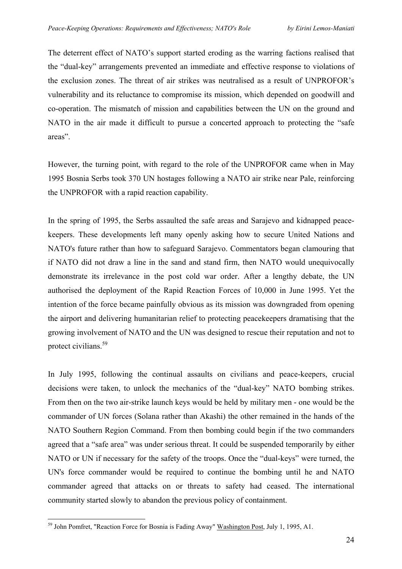The deterrent effect of NATO's support started eroding as the warring factions realised that the "dual-key" arrangements prevented an immediate and effective response to violations of the exclusion zones. The threat of air strikes was neutralised as a result of UNPROFOR's vulnerability and its reluctance to compromise its mission, which depended on goodwill and co-operation. The mismatch of mission and capabilities between the UN on the ground and NATO in the air made it difficult to pursue a concerted approach to protecting the "safe areas".

However, the turning point, with regard to the role of the UNPROFOR came when in May 1995 Bosnia Serbs took 370 UN hostages following a NATO air strike near Pale, reinforcing the UNPROFOR with a rapid reaction capability.

In the spring of 1995, the Serbs assaulted the safe areas and Sarajevo and kidnapped peacekeepers. These developments left many openly asking how to secure United Nations and NATO's future rather than how to safeguard Sarajevo. Commentators began clamouring that if NATO did not draw a line in the sand and stand firm, then NATO would unequivocally demonstrate its irrelevance in the post cold war order. After a lengthy debate, the UN authorised the deployment of the Rapid Reaction Forces of 10,000 in June 1995. Yet the intention of the force became painfully obvious as its mission was downgraded from opening the airport and delivering humanitarian relief to protecting peacekeepers dramatising that the growing involvement of NATO and the UN was designed to rescue their reputation and not to protect civilians[.59](#page-23-0) 

In July 1995, following the continual assaults on civilians and peace-keepers, crucial decisions were taken, to unlock the mechanics of the "dual-key" NATO bombing strikes. From then on the two air-strike launch keys would be held by military men - one would be the commander of UN forces (Solana rather than Akashi) the other remained in the hands of the NATO Southern Region Command. From then bombing could begin if the two commanders agreed that a "safe area" was under serious threat. It could be suspended temporarily by either NATO or UN if necessary for the safety of the troops. Once the "dual-keys" were turned, the UN's force commander would be required to continue the bombing until he and NATO commander agreed that attacks on or threats to safety had ceased. The international community started slowly to abandon the previous policy of containment.

<span id="page-23-0"></span><sup>&</sup>lt;sup>59</sup> John Pomfret, "Reaction Force for Bosnia is Fading Away" Washington Post, July 1, 1995, A1.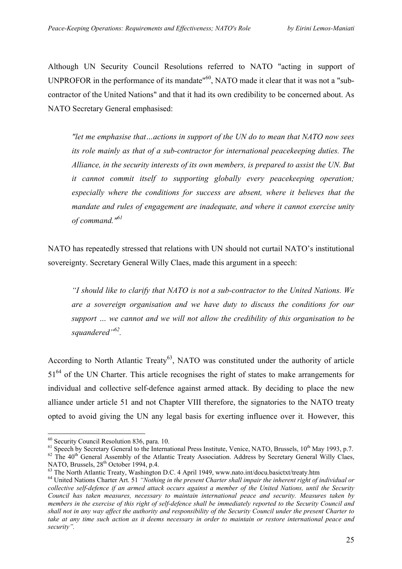Although UN Security Council Resolutions referred to NATO "acting in support of UNPROFOR in the performance of its mandate<sup>"60</sup>, NATO made it clear that it was not a "subcontractor of the United Nations" and that it had its own credibility to be concerned about. As NATO Secretary General emphasised:

*"let me emphasise that…actions in support of the UN do to mean that NATO now sees its role mainly as that of a sub-contractor for international peacekeeping duties. The Alliance, in the security interests of its own members, is prepared to assist the UN. But it cannot commit itself to supporting globally every peacekeeping operation; especially where the conditions for success are absent, where it believes that the mandate and rules of engagement are inadequate, and where it cannot exercise unity of command."[61](#page-24-1)*

NATO has repeatedly stressed that relations with UN should not curtail NATO's institutional sovereignty. Secretary General Willy Claes, made this argument in a speech:

*"I should like to clarify that NATO is not a sub-contractor to the United Nations. We are a sovereign organisation and we have duty to discuss the conditions for our support … we cannot and we will not allow the credibility of this organisation to be squandered"[62.](#page-24-2)* 

According to North Atlantic Treaty<sup>63</sup>, NATO was constituted under the authority of article 51<sup>64</sup> of the UN Charter. This article recognises the right of states to make arrangements for individual and collective self-defence against armed attack. By deciding to place the new alliance under article 51 and not Chapter VIII therefore, the signatories to the NATO treaty opted to avoid giving the UN any legal basis for exerting influence over it*.* However, this

<span id="page-24-0"></span> $60$  Security Council Resolution 836, para. 10.

<span id="page-24-2"></span><span id="page-24-1"></span><sup>&</sup>lt;sup>61</sup> Speech by Secretary General to the International Press Institute, Venice, NATO, Brussels,  $10^{th}$  May 1993, p.7.<br><sup>62</sup> The 40<sup>th</sup> General Assembly of the Atlantic Treaty Association. Address by Secretary General Willy

<span id="page-24-4"></span><span id="page-24-3"></span>

 $^{63}$  The North Atlantic Treaty, Washington D.C. 4 April 1949, www.nato.int/docu.basictxt/treaty.htm<br> $^{64}$  United Nations Charter Art. 51 "Nothing in the present Charter shall impair the inherent right of individual or *collective self-defence if an armed attack occurs against a member of the United Nations, until the Security Council has taken measures, necessary to maintain international peace and security. Measures taken by members in the exercise of this right of self-defence shall be immediately reported to the Security Council and shall not in any way affect the authority and responsibility of the Security Council under the present Charter to take at any time such action as it deems necessary in order to maintain or restore international peace and security".*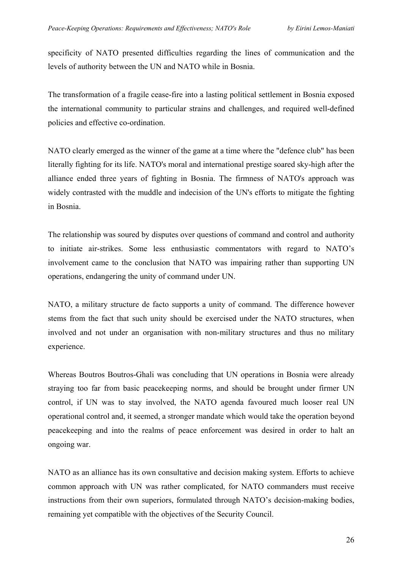specificity of NATO presented difficulties regarding the lines of communication and the levels of authority between the UN and NATO while in Bosnia.

The transformation of a fragile cease-fire into a lasting political settlement in Bosnia exposed the international community to particular strains and challenges, and required well-defined policies and effective co-ordination.

NATO clearly emerged as the winner of the game at a time where the "defence club" has been literally fighting for its life. NATO's moral and international prestige soared sky-high after the alliance ended three years of fighting in Bosnia. The firmness of NATO's approach was widely contrasted with the muddle and indecision of the UN's efforts to mitigate the fighting in Bosnia.

The relationship was soured by disputes over questions of command and control and authority to initiate air-strikes. Some less enthusiastic commentators with regard to NATO's involvement came to the conclusion that NATO was impairing rather than supporting UN operations, endangering the unity of command under UN.

NATO, a military structure de facto supports a unity of command. The difference however stems from the fact that such unity should be exercised under the NATO structures, when involved and not under an organisation with non-military structures and thus no military experience.

Whereas Boutros Boutros-Ghali was concluding that UN operations in Bosnia were already straying too far from basic peacekeeping norms, and should be brought under firmer UN control, if UN was to stay involved, the NATO agenda favoured much looser real UN operational control and, it seemed, a stronger mandate which would take the operation beyond peacekeeping and into the realms of peace enforcement was desired in order to halt an ongoing war.

NATO as an alliance has its own consultative and decision making system. Efforts to achieve common approach with UN was rather complicated, for NATO commanders must receive instructions from their own superiors, formulated through NATO's decision-making bodies, remaining yet compatible with the objectives of the Security Council.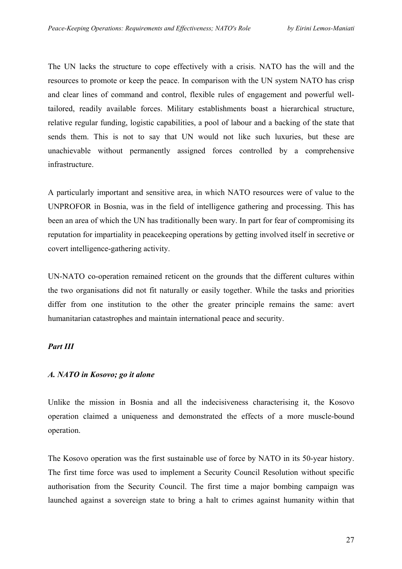The UN lacks the structure to cope effectively with a crisis. NATO has the will and the resources to promote or keep the peace. In comparison with the UN system NATO has crisp and clear lines of command and control, flexible rules of engagement and powerful welltailored, readily available forces. Military establishments boast a hierarchical structure, relative regular funding, logistic capabilities, a pool of labour and a backing of the state that sends them. This is not to say that UN would not like such luxuries, but these are unachievable without permanently assigned forces controlled by a comprehensive infrastructure.

A particularly important and sensitive area, in which NATO resources were of value to the UNPROFOR in Bosnia, was in the field of intelligence gathering and processing. This has been an area of which the UN has traditionally been wary. In part for fear of compromising its reputation for impartiality in peacekeeping operations by getting involved itself in secretive or covert intelligence-gathering activity.

UN-NATO co-operation remained reticent on the grounds that the different cultures within the two organisations did not fit naturally or easily together. While the tasks and priorities differ from one institution to the other the greater principle remains the same: avert humanitarian catastrophes and maintain international peace and security.

## *Part III*

# *A. NATO in Kosovo; go it alone*

Unlike the mission in Bosnia and all the indecisiveness characterising it, the Kosovo operation claimed a uniqueness and demonstrated the effects of a more muscle-bound operation.

The Kosovo operation was the first sustainable use of force by NATO in its 50-year history. The first time force was used to implement a Security Council Resolution without specific authorisation from the Security Council. The first time a major bombing campaign was launched against a sovereign state to bring a halt to crimes against humanity within that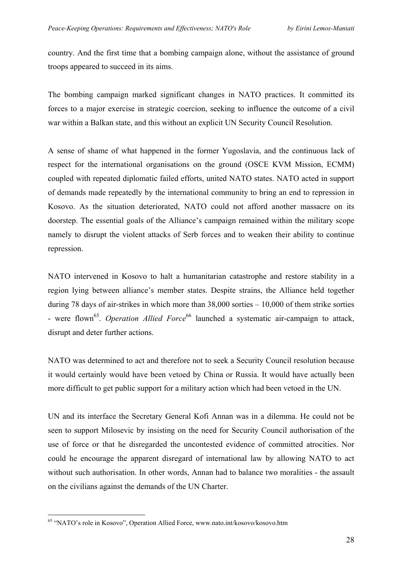country. And the first time that a bombing campaign alone, without the assistance of ground troops appeared to succeed in its aims.

The bombing campaign marked significant changes in NATO practices. It committed its forces to a major exercise in strategic coercion, seeking to influence the outcome of a civil war within a Balkan state, and this without an explicit UN Security Council Resolution.

A sense of shame of what happened in the former Yugoslavia, and the continuous lack of respect for the international organisations on the ground (OSCE KVM Mission, ECMM) coupled with repeated diplomatic failed efforts, united NATO states. NATO acted in support of demands made repeatedly by the international community to bring an end to repression in Kosovo. As the situation deteriorated, NATO could not afford another massacre on its doorstep. The essential goals of the Alliance's campaign remained within the military scope namely to disrupt the violent attacks of Serb forces and to weaken their ability to continue repression.

NATO intervened in Kosovo to halt a humanitarian catastrophe and restore stability in a region lying between alliance's member states. Despite strains, the Alliance held together during 78 days of air-strikes in which more than 38,000 sorties – 10,000 of them strike sorties - were flown<sup>65</sup>. *Operation Allied Force*<sup>66</sup> launched a systematic air-campaign to attack, disrupt and deter further actions.

NATO was determined to act and therefore not to seek a Security Council resolution because it would certainly would have been vetoed by China or Russia. It would have actually been more difficult to get public support for a military action which had been vetoed in the UN.

<span id="page-27-1"></span>UN and its interface the Secretary General Kofi Annan was in a dilemma. He could not be seen to support Milosevic by insisting on the need for Security Council authorisation of the use of force or that he disregarded the uncontested evidence of committed atrocities. Nor could he encourage the apparent disregard of international law by allowing NATO to act without such authorisation. In other words, Annan had to balance two moralities - the assault on the civilians against the demands of the UN Charter.

<span id="page-27-0"></span><sup>&</sup>lt;sup>65</sup> "NATO's role in Kosovo", Operation Allied Force, www.nato.int/kosovo/kosovo.htm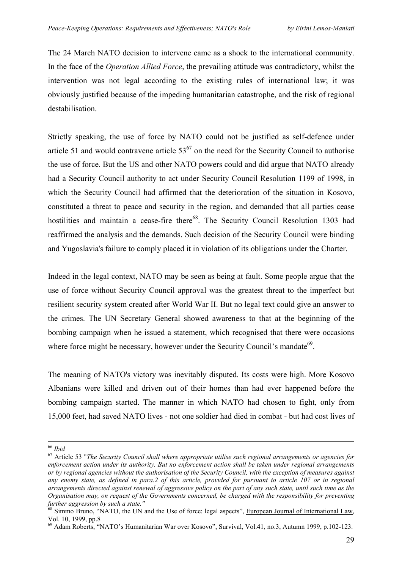The 24 March NATO decision to intervene came as a shock to the international community. In the face of the *Operation Allied Force*, the prevailing attitude was contradictory, whilst the intervention was not legal according to the existing rules of international law; it was obviously justified because of the impeding humanitarian catastrophe, and the risk of regional destabilisation.

Strictly speaking, the use of force by NATO could not be justified as self-defence under article 51 and would contravene article  $53^{67}$  on the need for the Security Council to authorise the use of force. But the US and other NATO powers could and did argue that NATO already had a Security Council authority to act under Security Council Resolution 1199 of 1998, in which the Security Council had affirmed that the deterioration of the situation in Kosovo, constituted a threat to peace and security in the region, and demanded that all parties cease hostilities and maintain a cease-fire there<sup>68</sup>. The Security Council Resolution 1303 had reaffirmed the analysis and the demands. Such decision of the Security Council were binding and Yugoslavia's failure to comply placed it in violation of its obligations under the Charter.

Indeed in the legal context, NATO may be seen as being at fault. Some people argue that the use of force without Security Council approval was the greatest threat to the imperfect but resilient security system created after World War II. But no legal text could give an answer to the crimes. The UN Secretary General showed awareness to that at the beginning of the bombing campaign when he issued a statement, which recognised that there were occasions where force might be necessary, however under the Security Council's mandate $^{69}$ .

The meaning of NATO's victory was inevitably disputed. Its costs were high. More Kosovo Albanians were killed and driven out of their homes than had ever happened before the bombing campaign started. The manner in which NATO had chosen to fight, only from 15,000 feet, had saved NATO lives - not one soldier had died in combat - but had cost lives of

<span id="page-28-0"></span>

<sup>66</sup> *Ibid* <sup>67</sup> Article 53 "*The Security Council shall where appropriate utilise such regional arrangements or agencies for enforcement action under its authority. But no enforcement action shall be taken under regional arrangements or by regional agencies without the authorisation of the Security Council, with the exception of measures against any enemy state, as defined in para.2 of this article, provided for pursuant to article 107 or in regional arrangements directed against renewal of aggressive policy on the part of any such state, until such time as the Organisation may, on request of the Governments concerned, be charged with the responsibility for preventing* 

<span id="page-28-1"></span>*further aggression by such a state."*<br><sup>68</sup> Simmo Bruno, "NATO, the UN and the Use of force: legal aspects", <u>European Journal of International Law</u>, Vol. 10, 1999, pp.8

<span id="page-28-2"></span><sup>&</sup>lt;sup>69</sup> Adam Roberts, "NATO's Humanitarian War over Kosovo", Survival, Vol.41, no.3, Autumn 1999, p.102-123.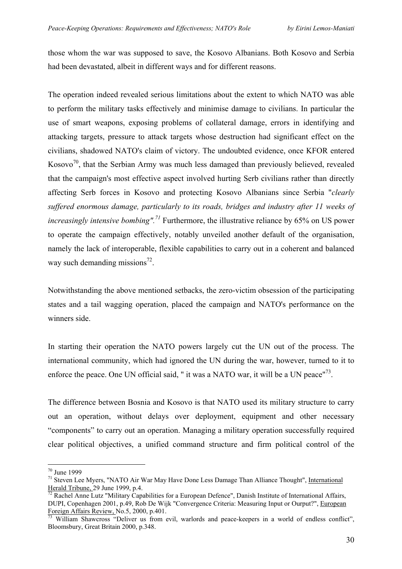those whom the war was supposed to save, the Kosovo Albanians. Both Kosovo and Serbia had been devastated, albeit in different ways and for different reasons.

The operation indeed revealed serious limitations about the extent to which NATO was able to perform the military tasks effectively and minimise damage to civilians. In particular the use of smart weapons, exposing problems of collateral damage, errors in identifying and attacking targets, pressure to attack targets whose destruction had significant effect on the civilians, shadowed NATO's claim of victory. The undoubted evidence, once KFOR entered Kosovo<sup>70</sup>, that the Serbian Army was much less damaged than previously believed, revealed that the campaign's most effective aspect involved hurting Serb civilians rather than directly affecting Serb forces in Kosovo and protecting Kosovo Albanians since Serbia "*clearly suffered enormous damage, particularly to its roads, bridges and industry after 11 weeks of increasingly intensive bombing".[71](#page-29-1)* Furthermore, the illustrative reliance by 65% on US power to operate the campaign effectively, notably unveiled another default of the organisation, namely the lack of interoperable, flexible capabilities to carry out in a coherent and balanced way such demanding missions<sup>72</sup>.

Notwithstanding the above mentioned setbacks, the zero-victim obsession of the participating states and a tail wagging operation, placed the campaign and NATO's performance on the winners side.

In starting their operation the NATO powers largely cut the UN out of the process. The international community, which had ignored the UN during the war, however, turned to it to enforce the peace. One UN official said, " it was a NATO war, it will be a UN peace" $^{73}$ .

The difference between Bosnia and Kosovo is that NATO used its military structure to carry out an operation, without delays over deployment, equipment and other necessary "components" to carry out an operation. Managing a military operation successfully required clear political objectives, a unified command structure and firm political control of the

 $\overline{a}$ 70 June 1999

<span id="page-29-1"></span><span id="page-29-0"></span><sup>&</sup>lt;sup>71</sup> Steven Lee Myers, "NATO Air War May Have Done Less Damage Than Alliance Thought", International Herald Tribune, 29 June 1999, p.4.<br><sup>72</sup> Rachel Anne Lutz "Military Capabilities for a European Defence", Danish Institute of International Affairs,

<span id="page-29-2"></span>DUPI, Copenhagen 2001, p.49, Rob De Wijk "Convergence Criteria: Measuring Input or Ourput?", European Foreign Affairs Review, No.5, 2000, p.401.<br><sup>73</sup> William Shawcross "Deliver us from evil, warlords and peace-keepers in a world of endless conflict",

<span id="page-29-3"></span>Bloomsbury, Great Britain 2000, p.348.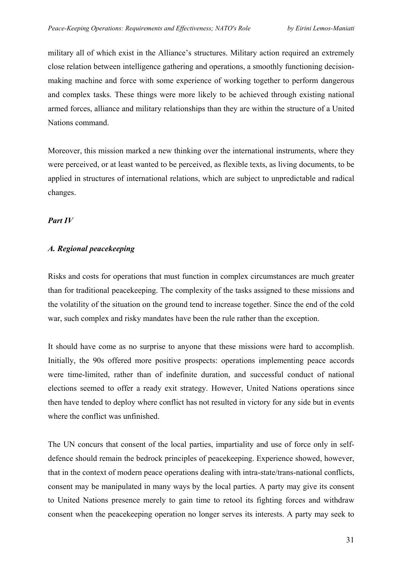military all of which exist in the Alliance's structures. Military action required an extremely close relation between intelligence gathering and operations, a smoothly functioning decisionmaking machine and force with some experience of working together to perform dangerous and complex tasks. These things were more likely to be achieved through existing national armed forces, alliance and military relationships than they are within the structure of a United Nations command.

Moreover, this mission marked a new thinking over the international instruments, where they were perceived, or at least wanted to be perceived, as flexible texts, as living documents, to be applied in structures of international relations, which are subject to unpredictable and radical changes.

## *Part IV*

## *A. Regional peacekeeping*

Risks and costs for operations that must function in complex circumstances are much greater than for traditional peacekeeping. The complexity of the tasks assigned to these missions and the volatility of the situation on the ground tend to increase together. Since the end of the cold war, such complex and risky mandates have been the rule rather than the exception.

It should have come as no surprise to anyone that these missions were hard to accomplish. Initially, the 90s offered more positive prospects: operations implementing peace accords were time-limited, rather than of indefinite duration, and successful conduct of national elections seemed to offer a ready exit strategy. However, United Nations operations since then have tended to deploy where conflict has not resulted in victory for any side but in events where the conflict was unfinished.

The UN concurs that consent of the local parties, impartiality and use of force only in selfdefence should remain the bedrock principles of peacekeeping. Experience showed, however, that in the context of modern peace operations dealing with intra-state/trans-national conflicts, consent may be manipulated in many ways by the local parties. A party may give its consent to United Nations presence merely to gain time to retool its fighting forces and withdraw consent when the peacekeeping operation no longer serves its interests. A party may seek to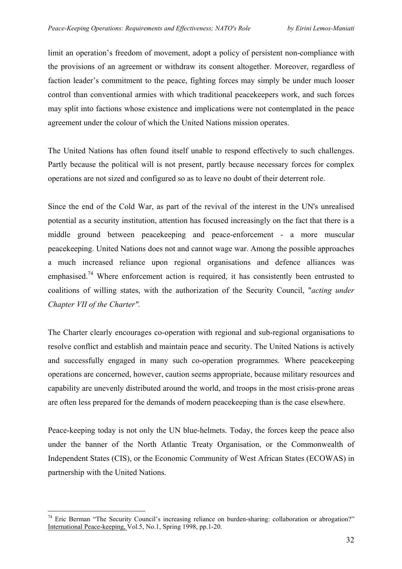limit an operation's freedom of movement, adopt a policy of persistent non-compliance with the provisions of an agreement or withdraw its consent altogether. Moreover, regardless of faction leader's commitment to the peace, fighting forces may simply be under much looser control than conventional armies with which traditional peacekeepers work, and such forces may split into factions whose existence and implications were not contemplated in the peace agreement under the colour of which the United Nations mission operates.

The United Nations has often found itself unable to respond effectively to such challenges. Partly because the political will is not present, partly because necessary forces for complex operations are not sized and configured so as to leave no doubt of their deterrent role.

Since the end of the Cold War, as part of the revival of the interest in the UN's unrealised potential as a security institution, attention has focused increasingly on the fact that there is a middle ground between peacekeeping and peace-enforcement - a more muscular peacekeeping. United Nations does not and cannot wage war. Among the possible approaches a much increased reliance upon regional organisations and defence alliances was emphasised.<sup>74</sup> Where enforcement action is required, it has consistently been entrusted to coalitions of willing states, with the authorization of the Security Council, "*acting under Chapter VII of the Charter".* 

The Charter clearly encourages co-operation with regional and sub-regional organisations to resolve conflict and establish and maintain peace and security. The United Nations is actively and successfully engaged in many such co-operation programmes. Where peacekeeping operations are concerned, however, caution seems appropriate, because military resources and capability are unevenly distributed around the world, and troops in the most crisis-prone areas are often less prepared for the demands of modern peacekeeping than is the case elsewhere.

Peace-keeping today is not only the UN blue-helmets. Today, the forces keep the peace also under the banner of the North Atlantic Treaty Organisation, or the Commonwealth of Independent States (CIS), or the Economic Community of West African States (ECOWAS) in partnership with the United Nations.

<span id="page-31-0"></span><sup>&</sup>lt;sup>74</sup> Eric Berman "The Security Council's increasing reliance on burden-sharing: collaboration or abrogation?" International Peace-keeping, Vol.5, No.1, Spring 1998, pp.1-20.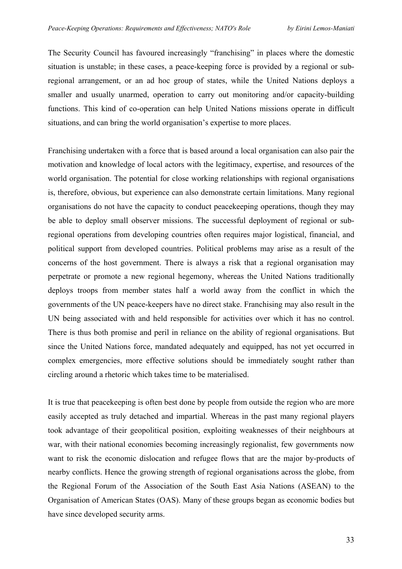The Security Council has favoured increasingly "franchising" in places where the domestic situation is unstable; in these cases, a peace-keeping force is provided by a regional or subregional arrangement, or an ad hoc group of states, while the United Nations deploys a smaller and usually unarmed, operation to carry out monitoring and/or capacity-building functions. This kind of co-operation can help United Nations missions operate in difficult situations, and can bring the world organisation's expertise to more places.

Franchising undertaken with a force that is based around a local organisation can also pair the motivation and knowledge of local actors with the legitimacy, expertise, and resources of the world organisation. The potential for close working relationships with regional organisations is, therefore, obvious, but experience can also demonstrate certain limitations. Many regional organisations do not have the capacity to conduct peacekeeping operations, though they may be able to deploy small observer missions. The successful deployment of regional or subregional operations from developing countries often requires major logistical, financial, and political support from developed countries. Political problems may arise as a result of the concerns of the host government. There is always a risk that a regional organisation may perpetrate or promote a new regional hegemony, whereas the United Nations traditionally deploys troops from member states half a world away from the conflict in which the governments of the UN peace-keepers have no direct stake. Franchising may also result in the UN being associated with and held responsible for activities over which it has no control. There is thus both promise and peril in reliance on the ability of regional organisations. But since the United Nations force, mandated adequately and equipped, has not yet occurred in complex emergencies, more effective solutions should be immediately sought rather than circling around a rhetoric which takes time to be materialised.

It is true that peacekeeping is often best done by people from outside the region who are more easily accepted as truly detached and impartial. Whereas in the past many regional players took advantage of their geopolitical position, exploiting weaknesses of their neighbours at war, with their national economies becoming increasingly regionalist, few governments now want to risk the economic dislocation and refugee flows that are the major by-products of nearby conflicts. Hence the growing strength of regional organisations across the globe, from the Regional Forum of the Association of the South East Asia Nations (ASEAN) to the Organisation of American States (OAS). Many of these groups began as economic bodies but have since developed security arms.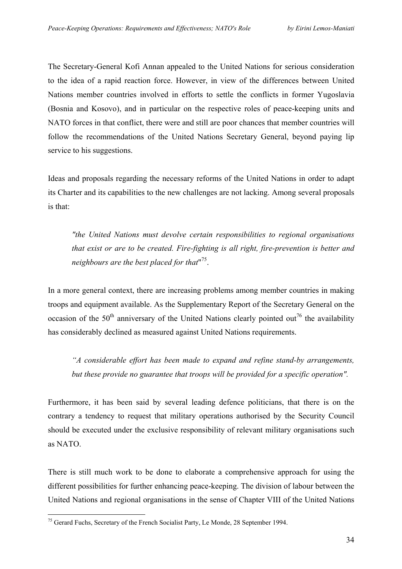The Secretary-General Kofi Annan appealed to the United Nations for serious consideration to the idea of a rapid reaction force. However, in view of the differences between United Nations member countries involved in efforts to settle the conflicts in former Yugoslavia (Bosnia and Kosovo), and in particular on the respective roles of peace-keeping units and NATO forces in that conflict, there were and still are poor chances that member countries will follow the recommendations of the United Nations Secretary General, beyond paying lip service to his suggestions.

Ideas and proposals regarding the necessary reforms of the United Nations in order to adapt its Charter and its capabilities to the new challenges are not lacking. Among several proposals is that:

*"the United Nations must devolve certain responsibilities to regional organisations that exist or are to be created. Fire-fighting is all right, fire-prevention is better and neighbours are the best placed for that*" [75.](#page-33-0) 

In a more general context, there are increasing problems among member countries in making troops and equipment available. As the Supplementary Report of the Secretary General on the occasion of the  $50<sup>th</sup>$  anniversary of the United Nations clearly pointed out<sup>76</sup> the availability has considerably declined as measured against United Nations requirements.

*"A considerable effort has been made to expand and refine stand-by arrangements, but these provide no guarantee that troops will be provided for a specific operation".* 

Furthermore, it has been said by several leading defence politicians, that there is on the contrary a tendency to request that military operations authorised by the Security Council should be executed under the exclusive responsibility of relevant military organisations such as NATO.

<span id="page-33-1"></span>There is still much work to be done to elaborate a comprehensive approach for using the different possibilities for further enhancing peace-keeping. The division of labour between the United Nations and regional organisations in the sense of Chapter VIII of the United Nations

<span id="page-33-0"></span><sup>&</sup>lt;sup>75</sup> Gerard Fuchs, Secretary of the French Socialist Party, Le Monde, 28 September 1994.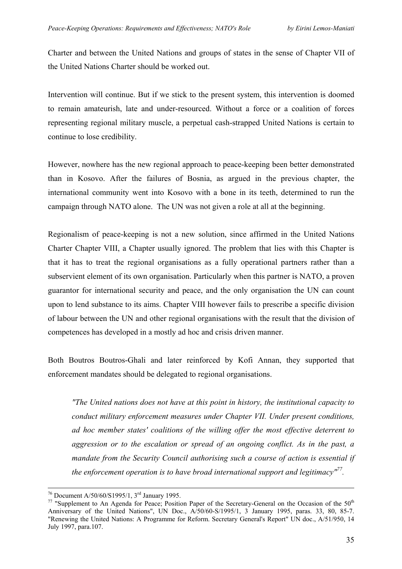Charter and between the United Nations and groups of states in the sense of Chapter VII of the United Nations Charter should be worked out.

Intervention will continue. But if we stick to the present system, this intervention is doomed to remain amateurish, late and under-resourced. Without a force or a coalition of forces representing regional military muscle, a perpetual cash-strapped United Nations is certain to continue to lose credibility.

However, nowhere has the new regional approach to peace-keeping been better demonstrated than in Kosovo. After the failures of Bosnia, as argued in the previous chapter, the international community went into Kosovo with a bone in its teeth, determined to run the campaign through NATO alone. The UN was not given a role at all at the beginning.

Regionalism of peace-keeping is not a new solution, since affirmed in the United Nations Charter Chapter VIII, a Chapter usually ignored. The problem that lies with this Chapter is that it has to treat the regional organisations as a fully operational partners rather than a subservient element of its own organisation. Particularly when this partner is NATO, a proven guarantor for international security and peace, and the only organisation the UN can count upon to lend substance to its aims. Chapter VIII however fails to prescribe a specific division of labour between the UN and other regional organisations with the result that the division of competences has developed in a mostly ad hoc and crisis driven manner.

Both Boutros Boutros-Ghali and later reinforced by Kofi Annan, they supported that enforcement mandates should be delegated to regional organisations.

*"The United nations does not have at this point in history, the institutional capacity to conduct military enforcement measures under Chapter VII. Under present conditions, ad hoc member states' coalitions of the willing offer the most effective deterrent to aggression or to the escalation or spread of an ongoing conflict. As in the past, a mandate from the Security Council authorising such a course of action is essential if the enforcement operation is to have broad international support and legitimacy["77.](#page-34-0)* 

<span id="page-34-0"></span>

<sup>&</sup>lt;sup>76</sup> Document A/50/60/S1995/1, 3<sup>rd</sup> January 1995.<br><sup>77</sup> "Supplement to An Agenda for Peace; Position Paper of the Secretary-General on the Occasion of the 50<sup>th</sup> Anniversary of the United Nations", UN Doc., A/50/60-S/1995/1, 3 January 1995, paras. 33, 80, 85-7. "Renewing the United Nations: A Programme for Reform. Secretary General's Report" UN doc., A/51/950, 14 July 1997, para.107.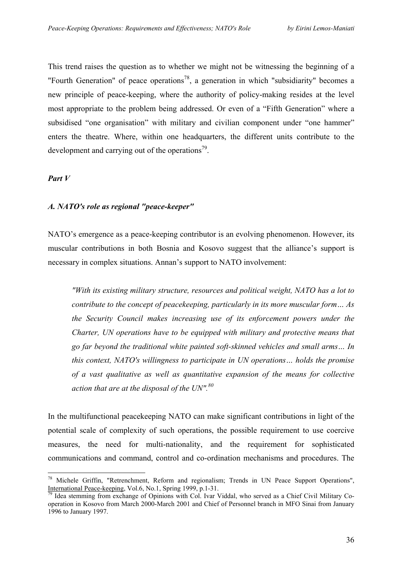This trend raises the question as to whether we might not be witnessing the beginning of a "Fourth Generation" of peace operations<sup>78</sup>, a generation in which "subsidiarity" becomes a new principle of peace-keeping, where the authority of policy-making resides at the level most appropriate to the problem being addressed. Or even of a "Fifth Generation" where a subsidised "one organisation" with military and civilian component under "one hammer" enters the theatre. Where, within one headquarters, the different units contribute to the development and carrying out of the operations $\beta$ .

*Part V* 

 $\overline{a}$ 

#### *A. NATO's role as regional "peace-keeper"*

NATO's emergence as a peace-keeping contributor is an evolving phenomenon. However, its muscular contributions in both Bosnia and Kosovo suggest that the alliance's support is necessary in complex situations. Annan's support to NATO involvement:

*"With its existing military structure, resources and political weight, NATO has a lot to contribute to the concept of peacekeeping, particularly in its more muscular form… As the Security Council makes increasing use of its enforcement powers under the Charter, UN operations have to be equipped with military and protective means that go far beyond the traditional white painted soft-skinned vehicles and small arms… In this context, NATO's willingness to participate in UN operations… holds the promise of a vast qualitative as well as quantitative expansion of the means for collective action that are at the disposal of the UN".[80](#page-35-2)*

In the multifunctional peacekeeping NATO can make significant contributions in light of the potential scale of complexity of such operations, the possible requirement to use coercive measures, the need for multi-nationality, and the requirement for sophisticated communications and command, control and co-ordination mechanisms and procedures. The

<span id="page-35-2"></span><span id="page-35-0"></span><sup>&</sup>lt;sup>78</sup> Michele Griffin, "Retrenchment, Reform and regionalism; Trends in UN Peace Support Operations", International Peace-keeping, Vol.6, No.1, Spring 1999, p.1-31.

<span id="page-35-1"></span> $\frac{1}{19}$  Idea stemming from exchange of Opinions with Col. Ivar Viddal, who served as a Chief Civil Military Cooperation in Kosovo from March 2000-March 2001 and Chief of Personnel branch in MFO Sinai from January 1996 to January 1997.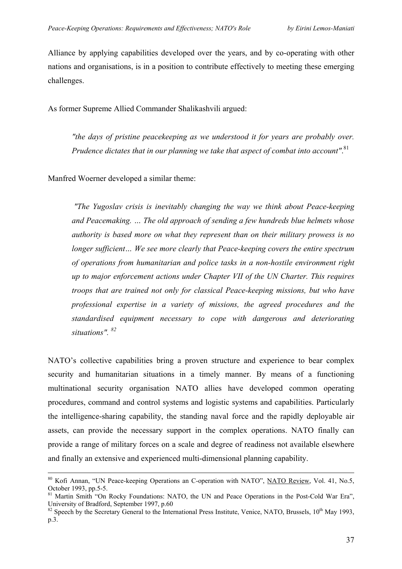Alliance by applying capabilities developed over the years, and by co-operating with other nations and organisations, is in a position to contribute effectively to meeting these emerging challenges.

As former Supreme Allied Commander Shalikashvili argued:

*"the days of pristine peacekeeping as we understood it for years are probably over. Prudence dictates that in our planning we take that aspect of combat into account"*. [81](#page-36-0)

Manfred Woerner developed a similar theme:

*"The Yugoslav crisis is inevitably changing the way we think about Peace-keeping and Peacemaking. … The old approach of sending a few hundreds blue helmets whose authority is based more on what they represent than on their military prowess is no longer sufficient… We see more clearly that Peace-keeping covers the entire spectrum of operations from humanitarian and police tasks in a non-hostile environment right up to major enforcement actions under Chapter VII of the UN Charter. This requires troops that are trained not only for classical Peace-keeping missions, but who have professional expertise in a variety of missions, the agreed procedures and the standardised equipment necessary to cope with dangerous and deteriorating situations". [82](#page-36-1)*

NATO's collective capabilities bring a proven structure and experience to bear complex security and humanitarian situations in a timely manner. By means of a functioning multinational security organisation NATO allies have developed common operating procedures, command and control systems and logistic systems and capabilities. Particularly the intelligence-sharing capability, the standing naval force and the rapidly deployable air assets, can provide the necessary support in the complex operations. NATO finally can provide a range of military forces on a scale and degree of readiness not available elsewhere and finally an extensive and experienced multi-dimensional planning capability.

<sup>&</sup>lt;sup>80</sup> Kofi Annan, "UN Peace-keeping Operations an C-operation with NATO", <u>NATO Review</u>, Vol. 41, No.5, October 1993, pp.5-5.

<span id="page-36-0"></span><sup>&</sup>lt;sup>81</sup> Martin Smith "On Rocky Foundations: NATO, the UN and Peace Operations in the Post-Cold War Era", University of Bradford, September 1997, p.60<br><sup>82</sup> Speech by the Secretary General to the International Press Institute, Venice, NATO, Brussels, 10<sup>th</sup> May 1993,

<span id="page-36-1"></span>p.3.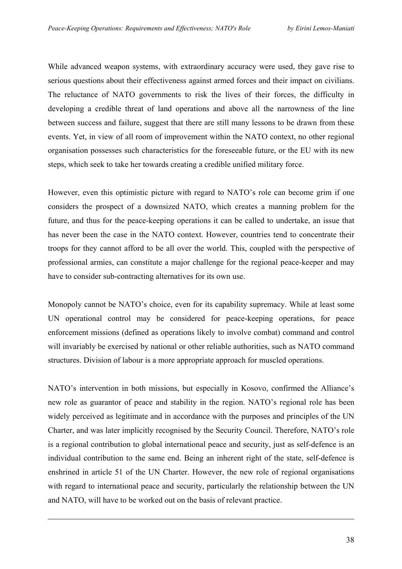While advanced weapon systems, with extraordinary accuracy were used, they gave rise to serious questions about their effectiveness against armed forces and their impact on civilians. The reluctance of NATO governments to risk the lives of their forces, the difficulty in developing a credible threat of land operations and above all the narrowness of the line between success and failure, suggest that there are still many lessons to be drawn from these events. Yet, in view of all room of improvement within the NATO context, no other regional organisation possesses such characteristics for the foreseeable future, or the EU with its new steps, which seek to take her towards creating a credible unified military force.

However, even this optimistic picture with regard to NATO's role can become grim if one considers the prospect of a downsized NATO, which creates a manning problem for the future, and thus for the peace-keeping operations it can be called to undertake, an issue that has never been the case in the NATO context. However, countries tend to concentrate their troops for they cannot afford to be all over the world. This, coupled with the perspective of professional armies, can constitute a major challenge for the regional peace-keeper and may have to consider sub-contracting alternatives for its own use.

Monopoly cannot be NATO's choice, even for its capability supremacy. While at least some UN operational control may be considered for peace-keeping operations, for peace enforcement missions (defined as operations likely to involve combat) command and control will invariably be exercised by national or other reliable authorities, such as NATO command structures. Division of labour is a more appropriate approach for muscled operations.

NATO's intervention in both missions, but especially in Kosovo, confirmed the Alliance's new role as guarantor of peace and stability in the region. NATO's regional role has been widely perceived as legitimate and in accordance with the purposes and principles of the UN Charter, and was later implicitly recognised by the Security Council. Therefore, NATO's role is a regional contribution to global international peace and security, just as self-defence is an individual contribution to the same end. Being an inherent right of the state, self-defence is enshrined in article 51 of the UN Charter. However, the new role of regional organisations with regard to international peace and security, particularly the relationship between the UN and NATO, will have to be worked out on the basis of relevant practice.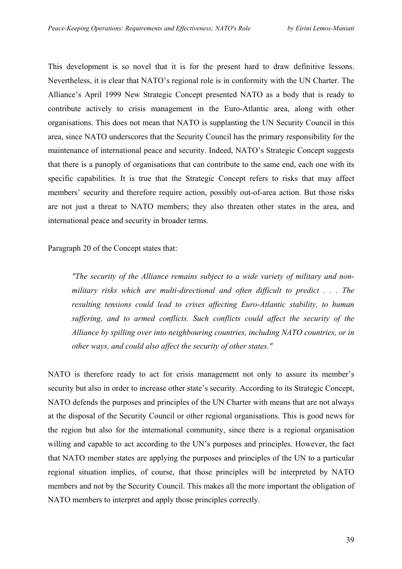This development is so novel that it is for the present hard to draw definitive lessons. Nevertheless, it is clear that NATO's regional role is in conformity with the UN Charter. The Alliance's April 1999 New Strategic Concept presented NATO as a body that is ready to contribute actively to crisis management in the Euro-Atlantic area, along with other organisations. This does not mean that NATO is supplanting the UN Security Council in this area, since NATO underscores that the Security Council has the primary responsibility for the maintenance of international peace and security. Indeed, NATO's Strategic Concept suggests that there is a panoply of organisations that can contribute to the same end, each one with its specific capabilities. It is true that the Strategic Concept refers to risks that may affect members' security and therefore require action, possibly out-of-area action. But those risks are not just a threat to NATO members; they also threaten other states in the area, and international peace and security in broader terms.

Paragraph 20 of the Concept states that:

*"The security of the Alliance remains subject to a wide variety of military and nonmilitary risks which are multi-directional and often difficult to predict . . . The resulting tensions could lead to crises affecting Euro-Atlantic stability, to human suffering, and to armed conflicts. Such conflicts could affect the security of the Alliance by spilling over into neighbouring countries, including NATO countries, or in other ways, and could also affect the security of other states."* 

NATO is therefore ready to act for crisis management not only to assure its member's security but also in order to increase other state's security. According to its Strategic Concept, NATO defends the purposes and principles of the UN Charter with means that are not always at the disposal of the Security Council or other regional organisations. This is good news for the region but also for the international community, since there is a regional organisation willing and capable to act according to the UN's purposes and principles. However, the fact that NATO member states are applying the purposes and principles of the UN to a particular regional situation implies, of course, that those principles will be interpreted by NATO members and not by the Security Council. This makes all the more important the obligation of NATO members to interpret and apply those principles correctly.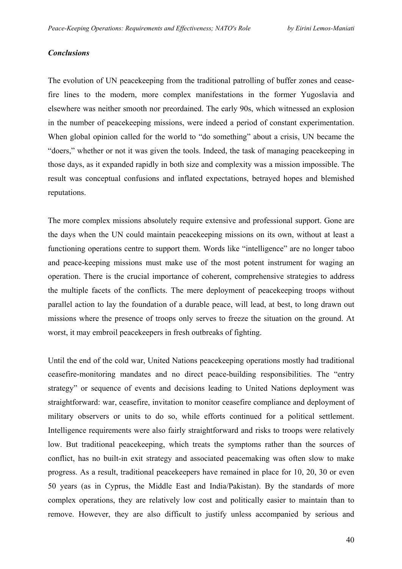#### *Conclusions*

The evolution of UN peacekeeping from the traditional patrolling of buffer zones and ceasefire lines to the modern, more complex manifestations in the former Yugoslavia and elsewhere was neither smooth nor preordained. The early 90s, which witnessed an explosion in the number of peacekeeping missions, were indeed a period of constant experimentation. When global opinion called for the world to "do something" about a crisis, UN became the "doers," whether or not it was given the tools. Indeed, the task of managing peacekeeping in those days, as it expanded rapidly in both size and complexity was a mission impossible. The result was conceptual confusions and inflated expectations, betrayed hopes and blemished reputations.

The more complex missions absolutely require extensive and professional support. Gone are the days when the UN could maintain peacekeeping missions on its own, without at least a functioning operations centre to support them. Words like "intelligence" are no longer taboo and peace-keeping missions must make use of the most potent instrument for waging an operation. There is the crucial importance of coherent, comprehensive strategies to address the multiple facets of the conflicts. The mere deployment of peacekeeping troops without parallel action to lay the foundation of a durable peace, will lead, at best, to long drawn out missions where the presence of troops only serves to freeze the situation on the ground. At worst, it may embroil peacekeepers in fresh outbreaks of fighting.

Until the end of the cold war, United Nations peacekeeping operations mostly had traditional ceasefire-monitoring mandates and no direct peace-building responsibilities. The "entry strategy" or sequence of events and decisions leading to United Nations deployment was straightforward: war, ceasefire, invitation to monitor ceasefire compliance and deployment of military observers or units to do so, while efforts continued for a political settlement. Intelligence requirements were also fairly straightforward and risks to troops were relatively low. But traditional peacekeeping, which treats the symptoms rather than the sources of conflict, has no built-in exit strategy and associated peacemaking was often slow to make progress. As a result, traditional peacekeepers have remained in place for 10, 20, 30 or even 50 years (as in Cyprus, the Middle East and India/Pakistan). By the standards of more complex operations, they are relatively low cost and politically easier to maintain than to remove. However, they are also difficult to justify unless accompanied by serious and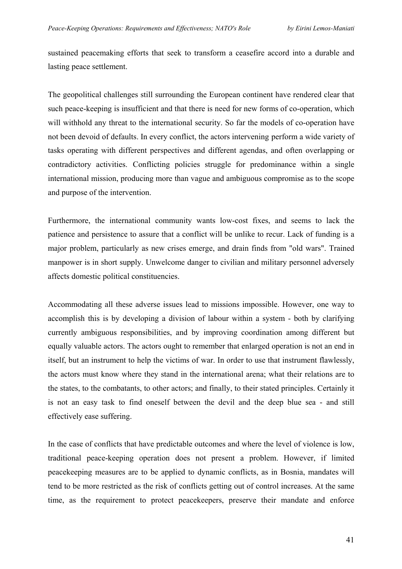sustained peacemaking efforts that seek to transform a ceasefire accord into a durable and lasting peace settlement.

The geopolitical challenges still surrounding the European continent have rendered clear that such peace-keeping is insufficient and that there is need for new forms of co-operation, which will withhold any threat to the international security. So far the models of co-operation have not been devoid of defaults. In every conflict, the actors intervening perform a wide variety of tasks operating with different perspectives and different agendas, and often overlapping or contradictory activities. Conflicting policies struggle for predominance within a single international mission, producing more than vague and ambiguous compromise as to the scope and purpose of the intervention.

Furthermore, the international community wants low-cost fixes, and seems to lack the patience and persistence to assure that a conflict will be unlike to recur. Lack of funding is a major problem, particularly as new crises emerge, and drain finds from "old wars". Trained manpower is in short supply. Unwelcome danger to civilian and military personnel adversely affects domestic political constituencies.

Accommodating all these adverse issues lead to missions impossible. However, one way to accomplish this is by developing a division of labour within a system - both by clarifying currently ambiguous responsibilities, and by improving coordination among different but equally valuable actors. The actors ought to remember that enlarged operation is not an end in itself, but an instrument to help the victims of war. In order to use that instrument flawlessly, the actors must know where they stand in the international arena; what their relations are to the states, to the combatants, to other actors; and finally, to their stated principles. Certainly it is not an easy task to find oneself between the devil and the deep blue sea - and still effectively ease suffering.

In the case of conflicts that have predictable outcomes and where the level of violence is low, traditional peace-keeping operation does not present a problem. However, if limited peacekeeping measures are to be applied to dynamic conflicts, as in Bosnia, mandates will tend to be more restricted as the risk of conflicts getting out of control increases. At the same time, as the requirement to protect peacekeepers, preserve their mandate and enforce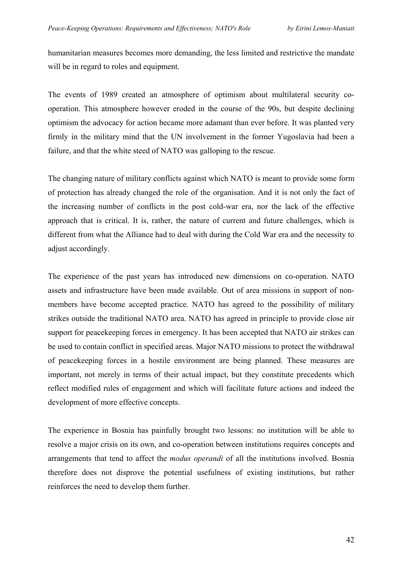humanitarian measures becomes more demanding, the less limited and restrictive the mandate will be in regard to roles and equipment.

The events of 1989 created an atmosphere of optimism about multilateral security cooperation. This atmosphere however eroded in the course of the 90s, but despite declining optimism the advocacy for action became more adamant than ever before. It was planted very firmly in the military mind that the UN involvement in the former Yugoslavia had been a failure, and that the white steed of NATO was galloping to the rescue.

The changing nature of military conflicts against which NATO is meant to provide some form of protection has already changed the role of the organisation. And it is not only the fact of the increasing number of conflicts in the post cold-war era, nor the lack of the effective approach that is critical. It is, rather, the nature of current and future challenges, which is different from what the Alliance had to deal with during the Cold War era and the necessity to adjust accordingly.

The experience of the past years has introduced new dimensions on co-operation. NATO assets and infrastructure have been made available. Out of area missions in support of nonmembers have become accepted practice. NATO has agreed to the possibility of military strikes outside the traditional NATO area. NATO has agreed in principle to provide close air support for peacekeeping forces in emergency. It has been accepted that NATO air strikes can be used to contain conflict in specified areas. Major NATO missions to protect the withdrawal of peacekeeping forces in a hostile environment are being planned. These measures are important, not merely in terms of their actual impact, but they constitute precedents which reflect modified rules of engagement and which will facilitate future actions and indeed the development of more effective concepts.

The experience in Bosnia has painfully brought two lessons: no institution will be able to resolve a major crisis on its own, and co-operation between institutions requires concepts and arrangements that tend to affect the *modus operandi* of all the institutions involved. Bosnia therefore does not disprove the potential usefulness of existing institutions, but rather reinforces the need to develop them further.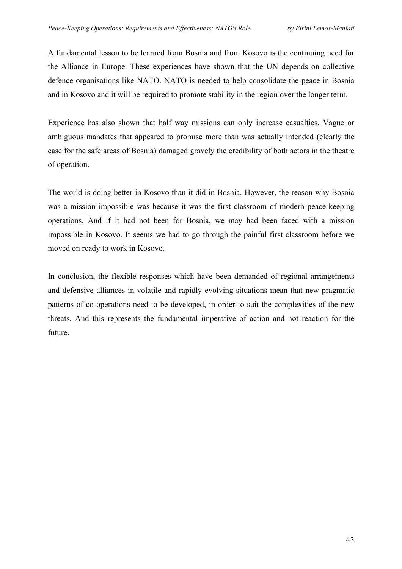A fundamental lesson to be learned from Bosnia and from Kosovo is the continuing need for the Alliance in Europe. These experiences have shown that the UN depends on collective defence organisations like NATO. NATO is needed to help consolidate the peace in Bosnia and in Kosovo and it will be required to promote stability in the region over the longer term.

Experience has also shown that half way missions can only increase casualties. Vague or ambiguous mandates that appeared to promise more than was actually intended (clearly the case for the safe areas of Bosnia) damaged gravely the credibility of both actors in the theatre of operation.

The world is doing better in Kosovo than it did in Bosnia. However, the reason why Bosnia was a mission impossible was because it was the first classroom of modern peace-keeping operations. And if it had not been for Bosnia, we may had been faced with a mission impossible in Kosovo. It seems we had to go through the painful first classroom before we moved on ready to work in Kosovo.

In conclusion, the flexible responses which have been demanded of regional arrangements and defensive alliances in volatile and rapidly evolving situations mean that new pragmatic patterns of co-operations need to be developed, in order to suit the complexities of the new threats. And this represents the fundamental imperative of action and not reaction for the future.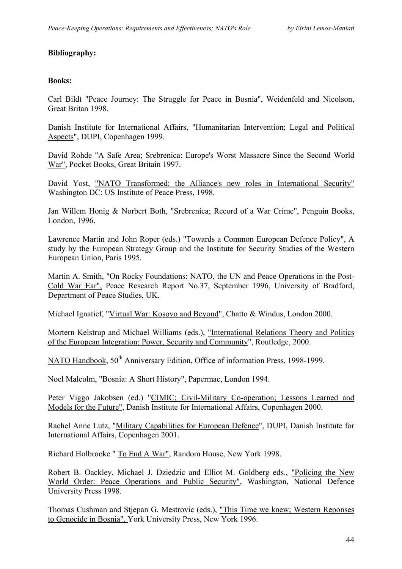## **Bibliography:**

#### **Books:**

Carl Bildt "Peace Journey: The Struggle for Peace in Bosnia", Weidenfeld and Nicolson, Great Britan 1998.

Danish Institute for International Affairs, "Humanitarian Intervention; Legal and Political Aspects", DUPI, Copenhagen 1999.

David Rohde "A Safe Area; Srebrenica: Europe's Worst Massacre Since the Second World War", Pocket Books, Great Britain 1997.

David Yost, "NATO Transformed: the Alliance's new roles in International Security" Washington DC: US Institute of Peace Press, 1998.

Jan Willem Honig & Norbert Both, "Srebrenica; Record of a War Crime", Penguin Books, London, 1996.

Lawrence Martin and John Roper (eds.) "Towards a Common European Defence Policy", A study by the European Strategy Group and the Institute for Security Studies of the Western European Union, Paris 1995.

Martin A. Smith, "On Rocky Foundations: NATO, the UN and Peace Operations in the Post-Cold War Ear", Peace Research Report No.37, September 1996, University of Bradford, Department of Peace Studies, UK.

Michael Ignatief, "Virtual War: Kosovo and Beyond", Chatto & Windus, London 2000.

Mortern Kelstrup and Michael Williams (eds.), "International Relations Theory and Politics of the European Integration: Power, Security and Community", Routledge, 2000.

NATO Handbook,  $50<sup>th</sup>$  Anniversary Edition, Office of information Press, 1998-1999.

Noel Malcolm, "Bosnia: A Short History", Papermac, London 1994.

Peter Viggo Jakobsen (ed.) "CIMIC; Civil-Military Co-operation; Lessons Learned and Models for the Future", Danish Institute for International Affairs, Copenhagen 2000.

Rachel Anne Lutz, "Military Capabilities for European Defence", DUPI, Danish Institute for International Affairs, Copenhagen 2001.

Richard Holbrooke " To End A War", Random House, New York 1998.

Robert B. Oackley, Michael J. Dziedzic and Elliot M. Goldberg eds., "Policing the New World Order: Peace Operations and Public Security", Washington, National Defence University Press 1998.

Thomas Cushman and Stjepan G. Mestrovic (eds.), "This Time we knew; Western Reponses to Genocide in Bosnia", York University Press, New York 1996.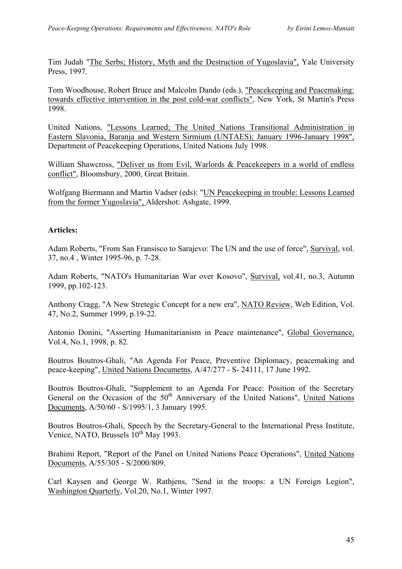Tim Judah "The Serbs; History, Myth and the Destruction of Yugoslavia", Yale University Press, 1997.

Tom Woodhouse, Robert Bruce and Malcolm Dando (eds.), "Peacekeeping and Peacemaking: towards effective intervention in the post cold-war conflicts", New York, St Martin's Press 1998.

United Nations, "Lessons Learned; The United Nations Transitional Administration in Eastern Slavonia, Baranja and Western Sirmium (UNTAES); January 1996-January 1998", Department of Peacekeeping Operations, United Nations July 1998.

William Shawcross, "Deliver us from Evil, Warlords & Peacekeepers in a world of endless conflict", Bloomsbury, 2000, Great Britain.

Wolfgang Biermann and Martin Vadser (eds): "UN Peacekeeping in trouble: Lessons Learned from the former Yugoslavia", Aldershot: Ashgate, 1999.

# **Articles:**

Adam Roberts, "From San Fransisco to Sarajevo: The UN and the use of force", Survival, vol. 37, no.4 , Winter 1995-96, p. 7-28.

Adam Roberts, "NATO's Humanitarian War over Kosovo", Survival, vol.41, no.3, Autumn 1999, pp.102-123.

Anthony Cragg, "A New Stretegic Concept for a new era", NATO Review, Web Edition, Vol. 47, No.2, Summer 1999, p.19-22.

Antonio Donini, "Asserting Humanitarianism in Peace maintenance", Global Governance, Vol.4, No.1, 1998, p. 82.

Boutros Boutros-Ghali, "An Agenda For Peace, Preventive Diplomacy, peacemaking and peace-keeping", United Nations Documetns, A/47/277 - S- 24111, 17 June 1992.

Boutros Boutros-Ghali, "Supplement to an Agenda For Peace: Position of the Secretary General on the Occasion of the  $50<sup>th</sup>$  Anniversary of the United Nations", United Nations Documents, A/50/60 - S/1995/1, 3 January 1995.

Boutros Boutros-Ghali, Speech by the Secretary-General to the International Press Institute, Venice, NATO, Brussels  $10^{th}$  May 1993.

Brahimi Report, "Report of the Panel on United Nations Peace Operations", United Nations Documents, A/55/305 - S/2000/809.

Carl Kaysen and George W. Rathjens, "Send in the troops: a UN Foreign Legion", Washington Quarterly, Vol.20, No.1, Winter 1997.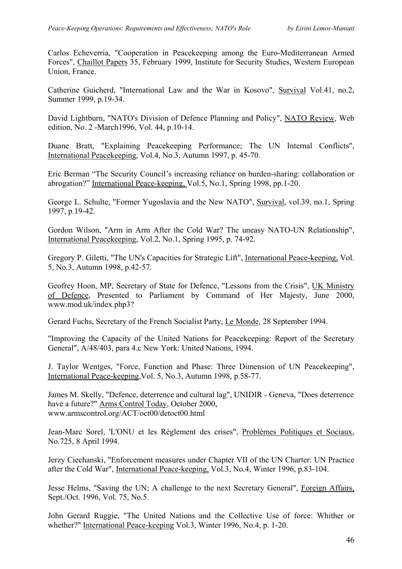Carlos Echeverria, "Cooperation in Peacekeeping among the Euro-Mediterranean Armed Forces", Chaillot Papers 35, February 1999, Institute for Security Studies, Western European Union, France.

Catherine Guicherd, "International Law and the War in Kosovo", Survival Vol.41, no.2, Summer 1999, p.19-34.

David Lightburn, "NATO's Division of Defence Planning and Policy", NATO Review, Web edition, No. 2 -March1996, Vol. 44, p.10-14.

Duane Bratt, "Explaining Peacekeeping Performance; The UN Internal Conflicts", International Peacekeeping, Vol.4, No.3, Autumn 1997, p. 45-70.

Eric Berman "The Security Council's increasing reliance on burden-sharing: collaboration or abrogation?" International Peace-keeping, Vol.5, No.1, Spring 1998, pp.1-20.

George L. Schulte, "Former Yugoslavia and the New NATO", Survival, vol.39, no.1, Spring 1997, p.19-42.

Gordon Wilson, "Arm in Arm After the Cold War? The uneasy NATO-UN Relationship", International Peacekeeping, Vol.2, No.1, Spring 1995, p. 74-92.

Gregory P. Giletti, "The UN's Capacities for Strategic Lift", International Peace-keeping, Vol. 5, No.3, Autumn 1998, p.42-57.

Geofrey Hoon, MP, Secretary of State for Defence, "Lessons from the Crisis", UK Ministry of Defence, Presented to Parliament by Command of Her Majesty, June 2000, www.mod.uk/index.php3?

Gerard Fuchs, Secretary of the French Socialist Party, Le Monde, 28 September 1994.

"Improving the Capacity of the United Nations for Peacekeeping: Report of the Secretary General", A/48/403, para 4.c New York: United Nations, 1994.

J. Taylor Wentges, "Force, Function and Phase: Three Dimension of UN Peacekeeping", International Peace-keeping,Vol. 5, No.3, Autumn 1998, p.58-77.

James M. Skelly, "Defence, deterrence and cultural lag", UNIDIR - Geneva, "Does deterrence have a future?" Arms Control Today, October 2000, www.armscontrol.org/ACT/oct00/detoct00.html

Jean-Marc Sorel, 'L'ONU et les Règlement des crises", Problèmes Politiques et Sociaux, No.725, 8 April 1994.

Jerzy Ciechanski, "Enforcement measures under Chapter VII of the UN Charter: UN Practice after the Cold War", International Peace-keeping, Vol.3, No.4, Winter 1996, p.83-104.

Jesse Helms, "Saving the UN; A challenge to the next Secretary General", Foreign Affairs, Sept./Oct. 1996, Vol. 75, No.5.

John Gerard Ruggie, "The United Nations and the Collective Use of force: Whither or whether?" International Peace-keeping Vol.3, Winter 1996, No.4, p. 1-20.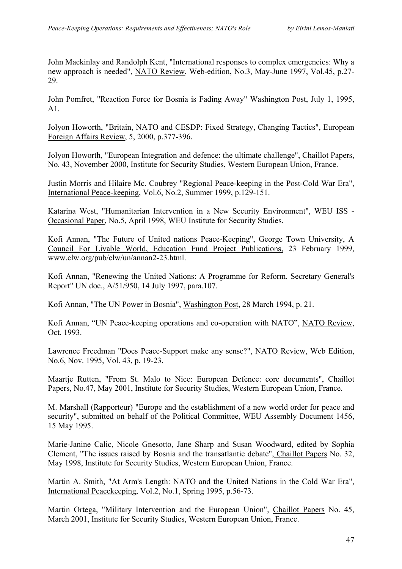John Mackinlay and Randolph Kent, "International responses to complex emergencies: Why a new approach is needed", NATO Review, Web-edition, No.3, May-June 1997, Vol.45, p.27- 29.

John Pomfret, "Reaction Force for Bosnia is Fading Away" Washington Post, July 1, 1995, A1.

Jolyon Howorth, "Britain, NATO and CESDP: Fixed Strategy, Changing Tactics", European Foreign Affairs Review, 5, 2000, p.377-396.

Jolyon Howorth, "European Integration and defence: the ultimate challenge", Chaillot Papers, No. 43, November 2000, Institute for Security Studies, Western European Union, France.

Justin Morris and Hilaire Mc. Coubrey "Regional Peace-keeping in the Post-Cold War Era", International Peace-keeping, Vol.6, No.2, Summer 1999, p.129-151.

Katarina West, "Humanitarian Intervention in a New Security Environment", WEU ISS - Occasional Paper, No.5, April 1998, WEU Institute for Security Studies.

Kofi Annan, "The Future of United nations Peace-Keeping", George Town University, A Council For Livable World, Education Fund Project Publications, 23 February 1999, www.clw.org/pub/clw/un/annan2-23.html.

Kofi Annan, "Renewing the United Nations: A Programme for Reform. Secretary General's Report" UN doc., A/51/950, 14 July 1997, para.107.

Kofi Annan, "The UN Power in Bosnia", Washington Post, 28 March 1994, p. 21.

Kofi Annan, "UN Peace-keeping operations and co-operation with NATO", NATO Review, Oct. 1993.

Lawrence Freedman "Does Peace-Support make any sense?", NATO Review, Web Edition, No.6, Nov. 1995, Vol. 43, p. 19-23.

Maartje Rutten, "From St. Malo to Nice: European Defence: core documents", Chaillot Papers, No.47, May 2001, Institute for Security Studies, Western European Union, France.

M. Marshall (Rapporteur) "Europe and the establishment of a new world order for peace and security", submitted on behalf of the Political Committee, WEU Assembly Document 1456, 15 May 1995.

Marie-Janine Calic, Nicole Gnesotto, Jane Sharp and Susan Woodward, edited by Sophia Clement, "The issues raised by Bosnia and the transatlantic debate", Chaillot Papers No. 32, May 1998, Institute for Security Studies, Western European Union, France.

Martin A. Smith, "At Arm's Length: NATO and the United Nations in the Cold War Era", International Peacekeeping, Vol.2, No.1, Spring 1995, p.56-73.

Martin Ortega, "Military Intervention and the European Union", Chaillot Papers No. 45, March 2001, Institute for Security Studies, Western European Union, France.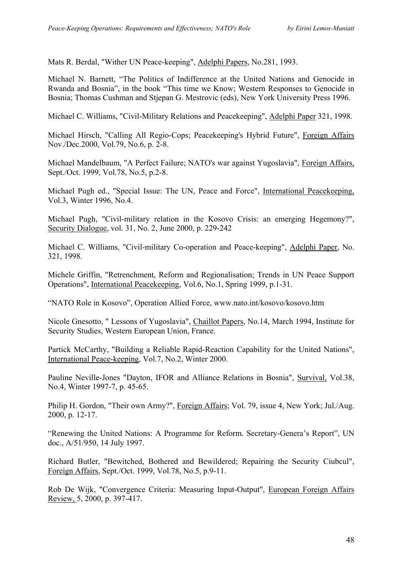Mats R. Berdal, "Wither UN Peace-keeping", Adelphi Papers, No.281, 1993.

Michael N. Barnett, "The Politics of Indifference at the United Nations and Genocide in Rwanda and Bosnia", in the book "This time we Know; Western Responses to Genocide in Bosnia; Thomas Cushman and Stjepan G. Mestrovic (eds), New York University Press 1996.

Michael C. Williams, "Civil-Military Relations and Peacekeeping", Adelphi Paper 321, 1998.

Michael Hirsch, "Calling All Regio-Cops; Peacekeeping's Hybrid Future", Foreign Affairs Nov./Dec.2000, Vol.79, No.6, p. 2-8.

Michael Mandelbaum, "A Perfect Failure; NATO's war against Yugoslavia", Foreign Affairs, Sept./Oct. 1999, Vol.78, No.5, p.2-8.

Michael Pugh ed., "Special Issue: The UN, Peace and Force", International Peacekeeping, Vol.3, Winter 1996, No.4.

Michael Pugh, "Civil-military relation in the Kosovo Crisis: an emerging Hegemony?", Security Dialogue, vol. 31, No. 2, June 2000, p. 229-242

Michael C. Williams, "Civil-military Co-operation and Peace-keeping", Adelphi Paper, No. 321, 1998.

Michele Griffin, "Retrenchment, Reform and Regionalisation; Trends in UN Peace Support Operations", International Peacekeeping, Vol.6, No.1, Spring 1999, p.1-31.

"NATO Role in Kosovo", Operation Allied Force, www.nato.int/kosovo/kosovo.htm

Nicole Gnesotto, " Lessons of Yugoslavia", Chaillot Papers, No.14, March 1994, Institute for Security Studies, Western European Union, France.

Partick McCarthy, "Building a Reliable Rapid-Reaction Capability for the United Nations", International Peace-keeping, Vol.7, No.2, Winter 2000.

Pauline Neville-Jones "Dayton, IFOR and Alliance Relations in Bosnia", Survival, Vol.38, No.4, Winter 1997-7, p. 45-65.

Philip H. Gordon, "Their own Army?", Foreign Affairs; Vol. 79, issue 4, New York; Jul./Aug. 2000, p. 12-17.

"Renewing the United Nations: A Programme for Reform. Secretary-Genera's Report", UN doc., A/51/950, 14 July 1997.

Richard Butler, "Bewitched, Bothered and Bewildered; Repairing the Security Ciubcul", Foreign Affairs, Sept./Oct. 1999, Vol.78, No.5, p.9-11.

Rob De Wijk, "Convergence Criteria: Measuring Input-Output", European Foreign Affairs Review, 5, 2000, p. 397-417.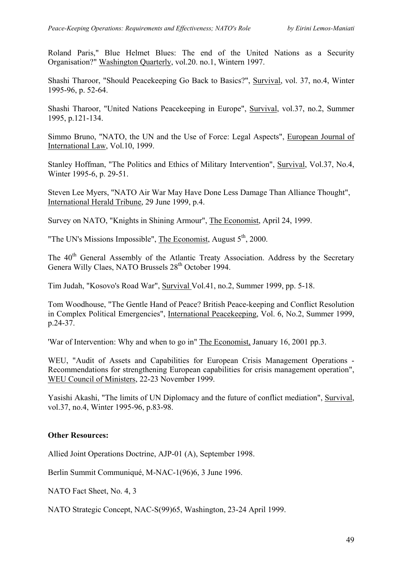Roland Paris," Blue Helmet Blues: The end of the United Nations as a Security Organisation?" Washington Quarterly, vol.20. no.1, Wintern 1997.

Shashi Tharoor, "Should Peacekeeping Go Back to Basics?", Survival, vol. 37, no.4, Winter 1995-96, p. 52-64.

Shashi Tharoor, "United Nations Peacekeeping in Europe", Survival, vol.37, no.2, Summer 1995, p.121-134.

Simmo Bruno, "NATO, the UN and the Use of Force: Legal Aspects", European Journal of International Law, Vol.10, 1999.

Stanley Hoffman, "The Politics and Ethics of Military Intervention", Survival, Vol.37, No.4, Winter 1995-6, p. 29-51.

Steven Lee Myers, "NATO Air War May Have Done Less Damage Than Alliance Thought", International Herald Tribune, 29 June 1999, p.4.

Survey on NATO, "Knights in Shining Armour", The Economist, April 24, 1999.

"The UN's Missions Impossible", The Economist, August  $5<sup>th</sup>$ , 2000.

The 40<sup>th</sup> General Assembly of the Atlantic Treaty Association. Address by the Secretary Genera Willy Claes, NATO Brussels  $28<sup>th</sup>$  October 1994.

Tim Judah, "Kosovo's Road War", Survival Vol.41, no.2, Summer 1999, pp. 5-18.

Tom Woodhouse, "The Gentle Hand of Peace? British Peace-keeping and Conflict Resolution in Complex Political Emergencies", International Peacekeeping, Vol. 6, No.2, Summer 1999, p.24-37.

'War of Intervention: Why and when to go in" The Economist, January 16, 2001 pp.3.

WEU, "Audit of Assets and Capabilities for European Crisis Management Operations -Recommendations for strengthening European capabilities for crisis management operation", WEU Council of Ministers, 22-23 November 1999.

Yasishi Akashi, "The limits of UN Diplomacy and the future of conflict mediation", Survival, vol.37, no.4, Winter 1995-96, p.83-98.

# **Other Resources:**

Allied Joint Operations Doctrine, AJP-01 (A), September 1998.

Berlin Summit Communiqué, M-NAC-1(96)6, 3 June 1996.

NATO Fact Sheet, No. 4, 3

NATO Strategic Concept, NAC-S(99)65, Washington, 23-24 April 1999.